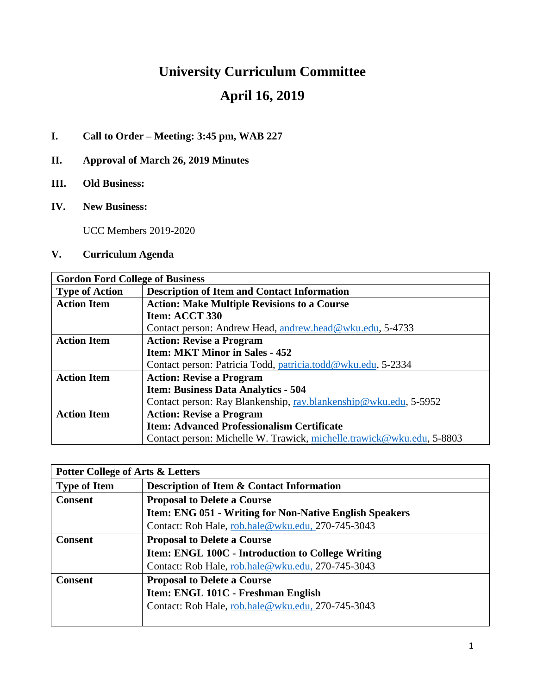# **University Curriculum Committee April 16, 2019**

### **I. Call to Order – Meeting: 3:45 pm, WAB 227**

- **II. Approval of March 26, 2019 Minutes**
- **III. Old Business:**
- **IV. New Business:**

UCC Members 2019-2020

### **V. Curriculum Agenda**

| <b>Gordon Ford College of Business</b> |                                                                       |  |  |
|----------------------------------------|-----------------------------------------------------------------------|--|--|
| <b>Type of Action</b>                  | <b>Description of Item and Contact Information</b>                    |  |  |
| <b>Action Item</b>                     | <b>Action: Make Multiple Revisions to a Course</b>                    |  |  |
|                                        | Item: ACCT 330                                                        |  |  |
|                                        | Contact person: Andrew Head, andrew.head@wku.edu, 5-4733              |  |  |
| <b>Action Item</b>                     | <b>Action: Revise a Program</b>                                       |  |  |
|                                        | <b>Item: MKT Minor in Sales - 452</b>                                 |  |  |
|                                        | Contact person: Patricia Todd, patricia.todd@wku.edu, 5-2334          |  |  |
| <b>Action Item</b>                     | <b>Action: Revise a Program</b>                                       |  |  |
|                                        | <b>Item: Business Data Analytics - 504</b>                            |  |  |
|                                        | Contact person: Ray Blankenship, ray.blankenship@wku.edu, 5-5952      |  |  |
| <b>Action Item</b>                     | <b>Action: Revise a Program</b>                                       |  |  |
|                                        | <b>Item: Advanced Professionalism Certificate</b>                     |  |  |
|                                        | Contact person: Michelle W. Trawick, michelle.trawick@wku.edu, 5-8803 |  |  |

| <b>Potter College of Arts &amp; Letters</b> |                                                                |  |
|---------------------------------------------|----------------------------------------------------------------|--|
| <b>Type of Item</b>                         | <b>Description of Item &amp; Contact Information</b>           |  |
| <b>Consent</b>                              | <b>Proposal to Delete a Course</b>                             |  |
|                                             | <b>Item: ENG 051 - Writing for Non-Native English Speakers</b> |  |
|                                             | Contact: Rob Hale, rob.hale@wku.edu, 270-745-3043              |  |
| <b>Consent</b>                              | <b>Proposal to Delete a Course</b>                             |  |
|                                             | Item: ENGL 100C - Introduction to College Writing              |  |
|                                             | Contact: Rob Hale, rob.hale@wku.edu, 270-745-3043              |  |
| <b>Consent</b>                              | <b>Proposal to Delete a Course</b>                             |  |
|                                             | Item: ENGL 101C - Freshman English                             |  |
|                                             | Contact: Rob Hale, rob.hale@wku.edu, 270-745-3043              |  |
|                                             |                                                                |  |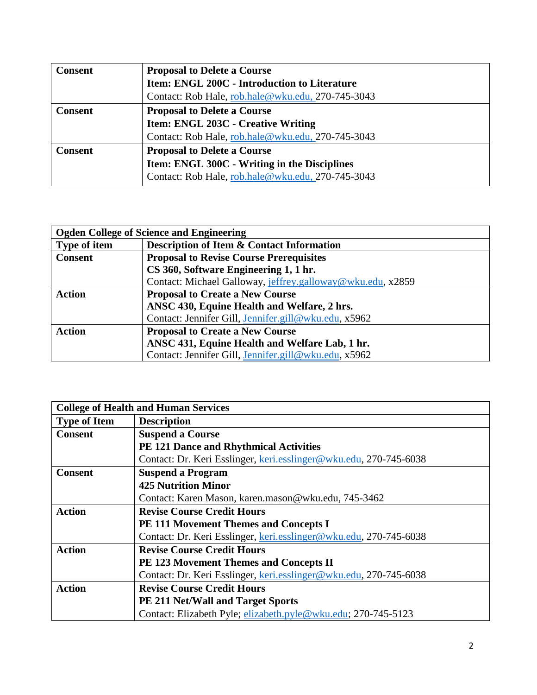| <b>Consent</b> | <b>Proposal to Delete a Course</b>                  |  |
|----------------|-----------------------------------------------------|--|
|                | <b>Item: ENGL 200C - Introduction to Literature</b> |  |
|                | Contact: Rob Hale, rob.hale@wku.edu, 270-745-3043   |  |
| <b>Consent</b> | <b>Proposal to Delete a Course</b>                  |  |
|                | <b>Item: ENGL 203C - Creative Writing</b>           |  |
|                | Contact: Rob Hale, rob.hale@wku.edu, 270-745-3043   |  |
| <b>Consent</b> | <b>Proposal to Delete a Course</b>                  |  |
|                | Item: ENGL 300C - Writing in the Disciplines        |  |
|                | Contact: Rob Hale, rob.hale@wku.edu, 270-745-3043   |  |

| <b>Ogden College of Science and Engineering</b> |                                                            |  |
|-------------------------------------------------|------------------------------------------------------------|--|
| Type of item                                    | <b>Description of Item &amp; Contact Information</b>       |  |
| <b>Consent</b>                                  | <b>Proposal to Revise Course Prerequisites</b>             |  |
|                                                 | CS 360, Software Engineering 1, 1 hr.                      |  |
|                                                 | Contact: Michael Galloway, jeffrey.galloway@wku.edu, x2859 |  |
| <b>Action</b>                                   | <b>Proposal to Create a New Course</b>                     |  |
|                                                 | ANSC 430, Equine Health and Welfare, 2 hrs.                |  |
|                                                 | Contact: Jennifer Gill, Jennifer.gill@wku.edu, x5962       |  |
| <b>Action</b>                                   | <b>Proposal to Create a New Course</b>                     |  |
|                                                 | ANSC 431, Equine Health and Welfare Lab, 1 hr.             |  |
|                                                 | Contact: Jennifer Gill, Jennifer.gill@wku.edu, x5962       |  |

| <b>College of Health and Human Services</b> |                                                                   |  |  |
|---------------------------------------------|-------------------------------------------------------------------|--|--|
| <b>Type of Item</b>                         | <b>Description</b>                                                |  |  |
| <b>Consent</b>                              | <b>Suspend a Course</b>                                           |  |  |
|                                             | PE 121 Dance and Rhythmical Activities                            |  |  |
|                                             | Contact: Dr. Keri Esslinger, keri.esslinger@wku.edu, 270-745-6038 |  |  |
| <b>Consent</b>                              | <b>Suspend a Program</b>                                          |  |  |
|                                             | <b>425 Nutrition Minor</b>                                        |  |  |
|                                             | Contact: Karen Mason, karen.mason@wku.edu, 745-3462               |  |  |
| <b>Action</b>                               | <b>Revise Course Credit Hours</b>                                 |  |  |
|                                             | <b>PE 111 Movement Themes and Concepts I</b>                      |  |  |
|                                             | Contact: Dr. Keri Esslinger, keri.esslinger@wku.edu, 270-745-6038 |  |  |
| <b>Action</b>                               | <b>Revise Course Credit Hours</b>                                 |  |  |
|                                             | PE 123 Movement Themes and Concepts II                            |  |  |
|                                             | Contact: Dr. Keri Esslinger, keri.esslinger@wku.edu, 270-745-6038 |  |  |
| <b>Action</b>                               | <b>Revise Course Credit Hours</b>                                 |  |  |
|                                             | <b>PE 211 Net/Wall and Target Sports</b>                          |  |  |
|                                             | Contact: Elizabeth Pyle; elizabeth.pyle@wku.edu; 270-745-5123     |  |  |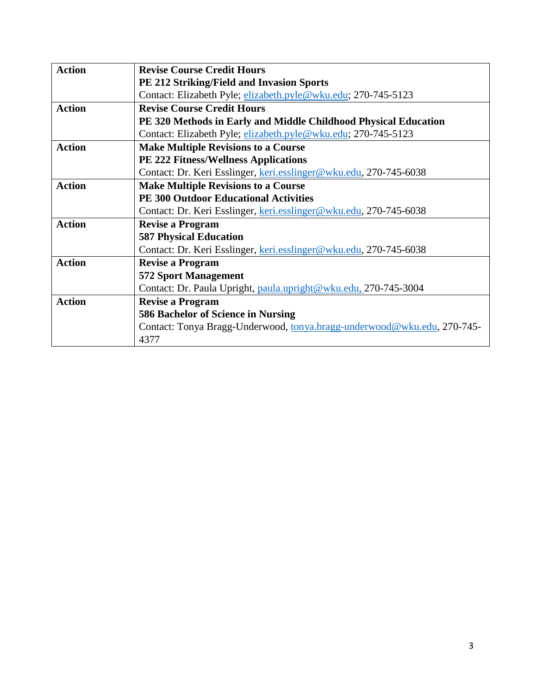| <b>Action</b> | <b>Revise Course Credit Hours</b>                                       |  |  |
|---------------|-------------------------------------------------------------------------|--|--|
|               | <b>PE 212 Striking/Field and Invasion Sports</b>                        |  |  |
|               | Contact: Elizabeth Pyle; elizabeth.pyle@wku.edu; 270-745-5123           |  |  |
| <b>Action</b> | <b>Revise Course Credit Hours</b>                                       |  |  |
|               | PE 320 Methods in Early and Middle Childhood Physical Education         |  |  |
|               | Contact: Elizabeth Pyle; elizabeth.pyle@wku.edu; 270-745-5123           |  |  |
| <b>Action</b> | <b>Make Multiple Revisions to a Course</b>                              |  |  |
|               | <b>PE 222 Fitness/Wellness Applications</b>                             |  |  |
|               | Contact: Dr. Keri Esslinger, keri.esslinger@wku.edu, 270-745-6038       |  |  |
| <b>Action</b> | <b>Make Multiple Revisions to a Course</b>                              |  |  |
|               | <b>PE 300 Outdoor Educational Activities</b>                            |  |  |
|               | Contact: Dr. Keri Esslinger, keri.esslinger@wku.edu, 270-745-6038       |  |  |
| <b>Action</b> | <b>Revise a Program</b>                                                 |  |  |
|               | <b>587 Physical Education</b>                                           |  |  |
|               | Contact: Dr. Keri Esslinger, keri.esslinger@wku.edu, 270-745-6038       |  |  |
| <b>Action</b> | <b>Revise a Program</b>                                                 |  |  |
|               | <b>572 Sport Management</b>                                             |  |  |
|               | Contact: Dr. Paula Upright, paula.upright@wku.edu, 270-745-3004         |  |  |
| <b>Action</b> | <b>Revise a Program</b>                                                 |  |  |
|               | 586 Bachelor of Science in Nursing                                      |  |  |
|               | Contact: Tonya Bragg-Underwood, tonya.bragg-underwood@wku.edu, 270-745- |  |  |
|               | 4377                                                                    |  |  |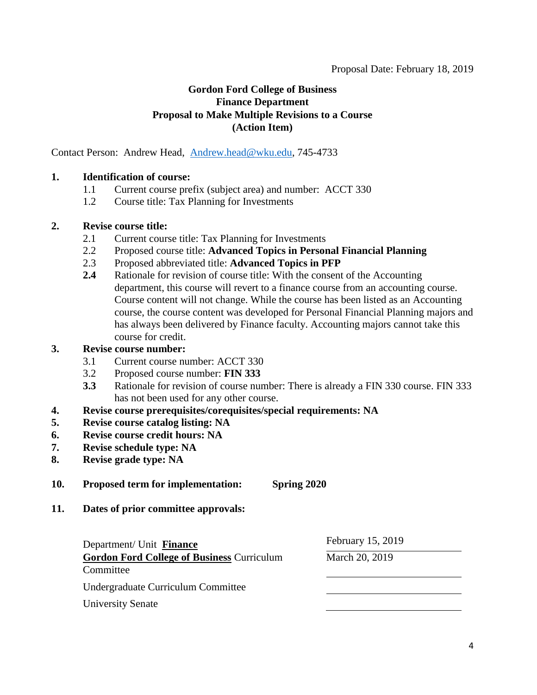### **Gordon Ford College of Business Finance Department Proposal to Make Multiple Revisions to a Course (Action Item)**

Contact Person: Andrew Head, [Andrew.head@wku.edu,](mailto:Andrew.head@wku.edu) 745-4733

#### **1. Identification of course:**

- 1.1 Current course prefix (subject area) and number: ACCT 330
- 1.2 Course title: Tax Planning for Investments

#### **2. Revise course title:**

- 2.1 Current course title: Tax Planning for Investments
- 2.2 Proposed course title: **Advanced Topics in Personal Financial Planning**
- 2.3 Proposed abbreviated title: **Advanced Topics in PFP**
- **2.4** Rationale for revision of course title: With the consent of the Accounting department, this course will revert to a finance course from an accounting course. Course content will not change. While the course has been listed as an Accounting course, the course content was developed for Personal Financial Planning majors and has always been delivered by Finance faculty. Accounting majors cannot take this course for credit.

#### **3. Revise course number:**

- 3.1 Current course number: ACCT 330
- 3.2 Proposed course number: **FIN 333**
- **3.3** Rationale for revision of course number: There is already a FIN 330 course. FIN 333 has not been used for any other course.
- **4. Revise course prerequisites/corequisites/special requirements: NA**
- **5. Revise course catalog listing: NA**
- **6. Revise course credit hours: NA**
- **7. Revise schedule type: NA**
- **8. Revise grade type: NA**
- **10. Proposed term for implementation: Spring 2020**
- **11. Dates of prior committee approvals:**

Department/ Unit **Finance** February 15, 2019

**Gordon Ford College of Business** Curriculum **Committee** March 20, 2019 Undergraduate Curriculum Committee University Senate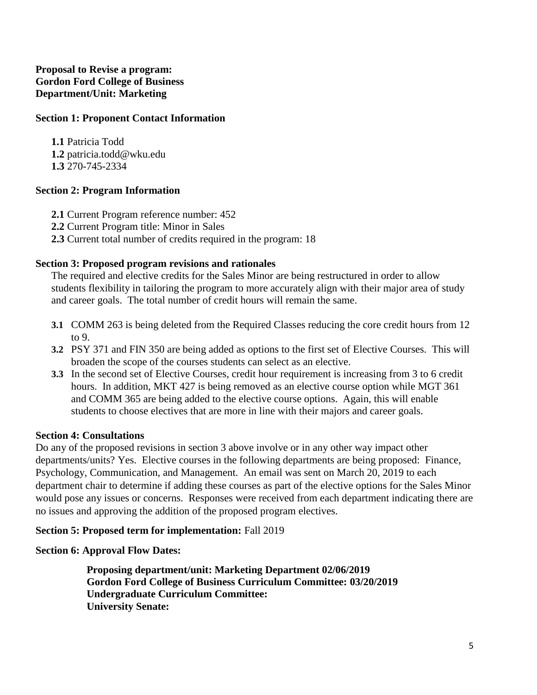### **Proposal to Revise a program: Gordon Ford College of Business Department/Unit: Marketing**

### **Section 1: Proponent Contact Information**

**1.1** Patricia Todd **1.2** patricia.todd@wku.edu **1.3** 270-745-2334

### **Section 2: Program Information**

- **2.1** Current Program reference number: 452
- **2.2** Current Program title: Minor in Sales
- **2.3** Current total number of credits required in the program: 18

### **Section 3: Proposed program revisions and rationales**

The required and elective credits for the Sales Minor are being restructured in order to allow students flexibility in tailoring the program to more accurately align with their major area of study and career goals. The total number of credit hours will remain the same.

- **3.1** COMM 263 is being deleted from the Required Classes reducing the core credit hours from 12 to 9.
- **3.2** PSY 371 and FIN 350 are being added as options to the first set of Elective Courses. This will broaden the scope of the courses students can select as an elective.
- **3.3** In the second set of Elective Courses, credit hour requirement is increasing from 3 to 6 credit hours. In addition, MKT 427 is being removed as an elective course option while MGT 361 and COMM 365 are being added to the elective course options. Again, this will enable students to choose electives that are more in line with their majors and career goals.

### **Section 4: Consultations**

Do any of the proposed revisions in section 3 above involve or in any other way impact other departments/units? Yes. Elective courses in the following departments are being proposed: Finance, Psychology, Communication, and Management. An email was sent on March 20, 2019 to each department chair to determine if adding these courses as part of the elective options for the Sales Minor would pose any issues or concerns. Responses were received from each department indicating there are no issues and approving the addition of the proposed program electives.

### **Section 5: Proposed term for implementation:** Fall 2019

### **Section 6: Approval Flow Dates:**

**Proposing department/unit: Marketing Department 02/06/2019 Gordon Ford College of Business Curriculum Committee: 03/20/2019 Undergraduate Curriculum Committee: University Senate:**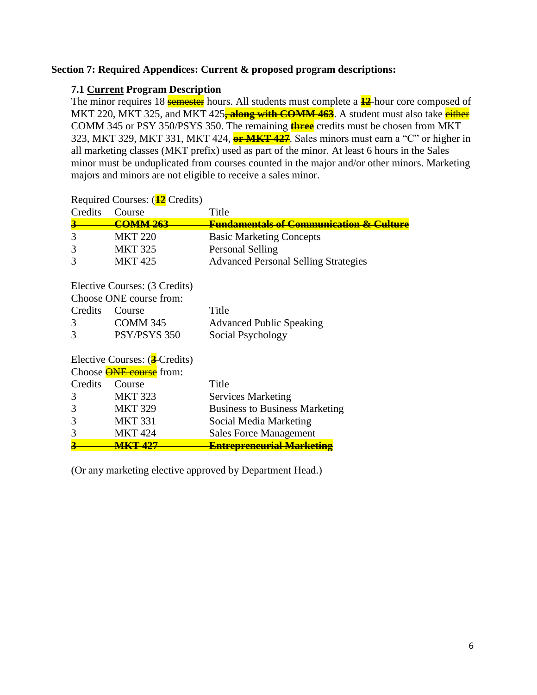#### **Section 7: Required Appendices: Current & proposed program descriptions:**

#### **7.1 Current Program Description**

The minor requires 18 **semester** hours. All students must complete a  $\frac{12}{12}$ -hour core composed of MKT 220, MKT 325, and MKT 425<sup>-</sup> **along with COMM 463**. A student must also take either COMM 345 or PSY 350/PSYS 350. The remaining **three** credits must be chosen from MKT 323, MKT 329, MKT 331, MKT 424, **or MKT 427**. Sales minors must earn a "C" or higher in all marketing classes (MKT prefix) used as part of the minor. At least 6 hours in the Sales minor must be unduplicated from courses counted in the major and/or other minors. Marketing majors and minors are not eligible to receive a sales minor.

| Credits                       | Course                         | Title                                                  |  |
|-------------------------------|--------------------------------|--------------------------------------------------------|--|
|                               | <b>COMM 263</b>                | <del>Fundamentals of Communication &amp; Culture</del> |  |
| 3                             | <b>MKT 220</b>                 | <b>Basic Marketing Concepts</b>                        |  |
| 3                             | <b>MKT 325</b>                 | <b>Personal Selling</b>                                |  |
| 3                             | <b>MKT425</b>                  | <b>Advanced Personal Selling Strategies</b>            |  |
| Elective Courses: (3 Credits) |                                |                                                        |  |
|                               | Choose ONE course from:        |                                                        |  |
| Credits                       | Course                         | Title                                                  |  |
| 3                             | COMM 345                       | <b>Advanced Public Speaking</b>                        |  |
| 3                             | PSY/PSYS 350                   | Social Psychology                                      |  |
| Elective Courses: (3-Credits) |                                |                                                        |  |
|                               | Choose <b>ONE</b> course from: |                                                        |  |
| Credits                       | Course                         | Title                                                  |  |
| 3                             | <b>MKT 323</b>                 | <b>Services Marketing</b>                              |  |
| 3                             | <b>MKT 329</b>                 | <b>Business to Business Marketing</b>                  |  |
| 3                             | <b>MKT 331</b>                 | Social Media Marketing                                 |  |
| 3                             | <b>MKT 424</b>                 | <b>Sales Force Management</b>                          |  |
|                               | <u>MKT 427</u>                 | <b>Entrepreneurial Marketing</b>                       |  |

Required Courses: (**12** Credits)

(Or any marketing elective approved by Department Head.)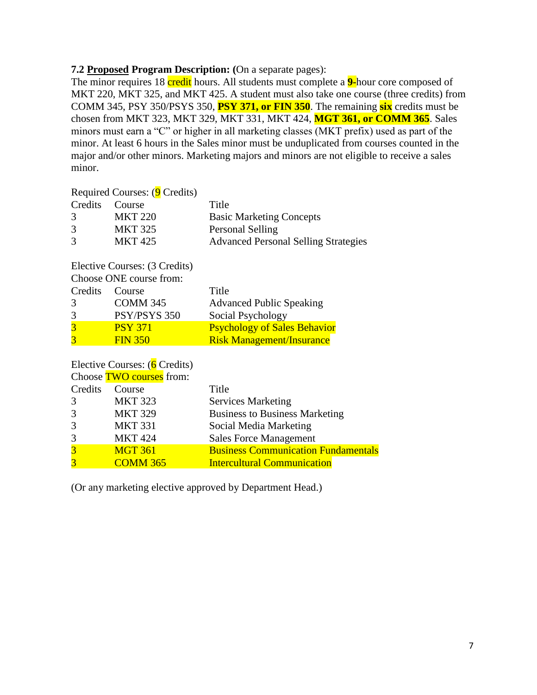#### **7.2 Proposed Program Description: (**On a separate pages):

The minor requires 18 credit hours. All students must complete a **9-**hour core composed of MKT 220, MKT 325, and MKT 425. A student must also take one course (three credits) from COMM 345, PSY 350/PSYS 350, **PSY 371, or FIN 350**. The remaining **six** credits must be chosen from MKT 323, MKT 329, MKT 331, MKT 424, **MGT 361, or COMM 365**. Sales minors must earn a "C" or higher in all marketing classes (MKT prefix) used as part of the minor. At least 6 hours in the Sales minor must be unduplicated from courses counted in the major and/or other minors. Marketing majors and minors are not eligible to receive a sales minor.

Required Courses: (9 Credits)

|               | Credits Course | Title                                       |
|---------------|----------------|---------------------------------------------|
| $\mathcal{R}$ | <b>MKT 220</b> | <b>Basic Marketing Concepts</b>             |
| 3             | <b>MKT 325</b> | Personal Selling                            |
| 3             | MKT 425        | <b>Advanced Personal Selling Strategies</b> |

Elective Courses: (3 Credits)

| Choose ONE course from: |                 |                                     |  |
|-------------------------|-----------------|-------------------------------------|--|
| Credits                 | Course          | Title                               |  |
| $\mathcal{R}$           | <b>COMM 345</b> | <b>Advanced Public Speaking</b>     |  |
| 3                       | PSY/PSYS 350    | Social Psychology                   |  |
| $\mathbf{R}$            | <b>PSY 371</b>  | <b>Psychology of Sales Behavior</b> |  |
|                         | <b>FIN 350</b>  | <b>Risk Management/Insurance</b>    |  |

### Elective Courses: (6 Credits)

|                | Choose <b>TWO</b> courses from: |                                            |
|----------------|---------------------------------|--------------------------------------------|
| Credits        | Course                          | Title                                      |
| 3              | <b>MKT 323</b>                  | <b>Services Marketing</b>                  |
| 3              | <b>MKT 329</b>                  | <b>Business to Business Marketing</b>      |
| 3              | <b>MKT 331</b>                  | Social Media Marketing                     |
| 3              | <b>MKT 424</b>                  | <b>Sales Force Management</b>              |
| $\overline{3}$ | <b>MGT 361</b>                  | <b>Business Communication Fundamentals</b> |
| $\overline{3}$ | <b>COMM 365</b>                 | <b>Intercultural Communication</b>         |

(Or any marketing elective approved by Department Head.)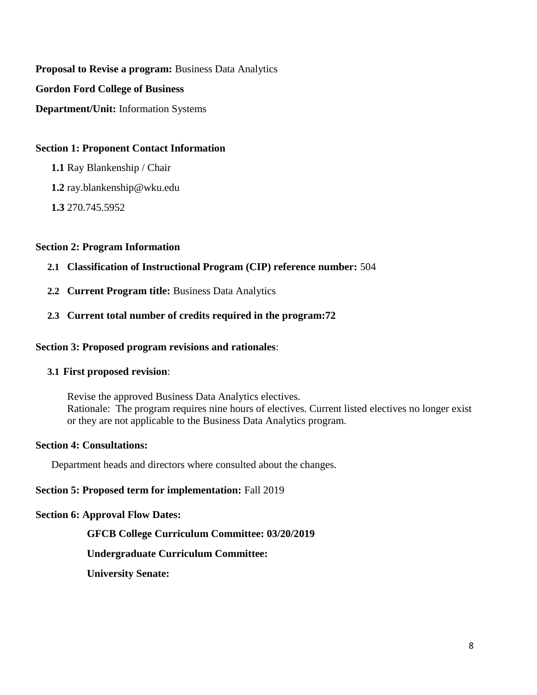**Proposal to Revise a program:** Business Data Analytics **Gordon Ford College of Business Department/Unit:** Information Systems

#### **Section 1: Proponent Contact Information**

**1.1** Ray Blankenship / Chair

**1.2** ray.blankenship@wku.edu

**1.3** 270.745.5952

#### **Section 2: Program Information**

#### **2.1 Classification of Instructional Program (CIP) reference number:** 504

**2.2 Current Program title:** Business Data Analytics

#### **2.3 Current total number of credits required in the program:72**

#### **Section 3: Proposed program revisions and rationales**:

#### **3.1 First proposed revision**:

Revise the approved Business Data Analytics electives. Rationale: The program requires nine hours of electives. Current listed electives no longer exist or they are not applicable to the Business Data Analytics program.

#### **Section 4: Consultations:**

Department heads and directors where consulted about the changes.

#### **Section 5: Proposed term for implementation:** Fall 2019

#### **Section 6: Approval Flow Dates:**

#### **GFCB College Curriculum Committee: 03/20/2019**

#### **Undergraduate Curriculum Committee:**

**University Senate:**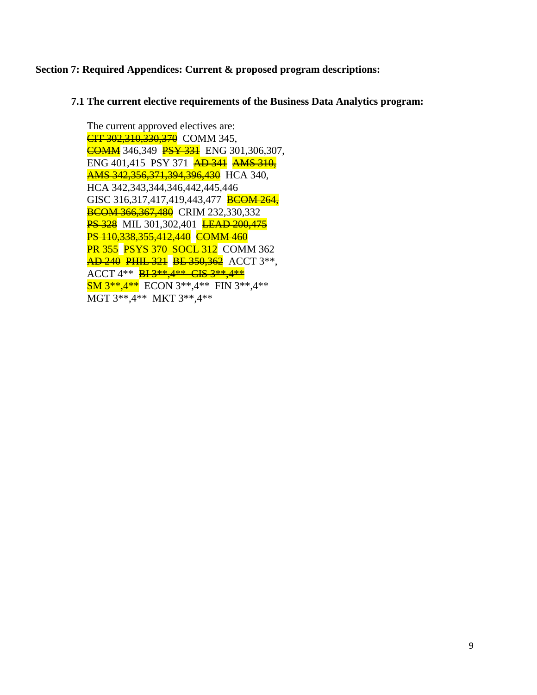#### **Section 7: Required Appendices: Current & proposed program descriptions:**

#### **7.1 The current elective requirements of the Business Data Analytics program:**

The current approved electives are: **CIT 302,310,330,370** COMM 345, **COMM** 346,349 **PSY 331** ENG 301,306,307, ENG 401,415 PSY 371 **AD 341 AMS 310**, **AMS 342, 356, 371, 394, 396, 430** HCA 340, HCA 342,343,344,346,442,445,446 GISC 316,317,417,419,443,477 BCOM 264, **BCOM 366,367,480** CRIM 232,330,332 **PS 328** MIL 301,302,401 **LEAD 200,475** PS 110,338,355,412,440 COMM 460 **PR 355 PSYS 370 SOCL 312** COMM 362 **AD 240 PHIL 321 BE 350,362** ACCT 3\*\*, ACCT 4\*\* **BI 3\*\*, 4\*\* CIS 3\*\*, 4\*\* SM 3\*\*,4\*\*** ECON 3\*\*,4\*\* FIN 3\*\*,4\*\* MGT 3\*\*,4\*\* MKT 3\*\*,4\*\*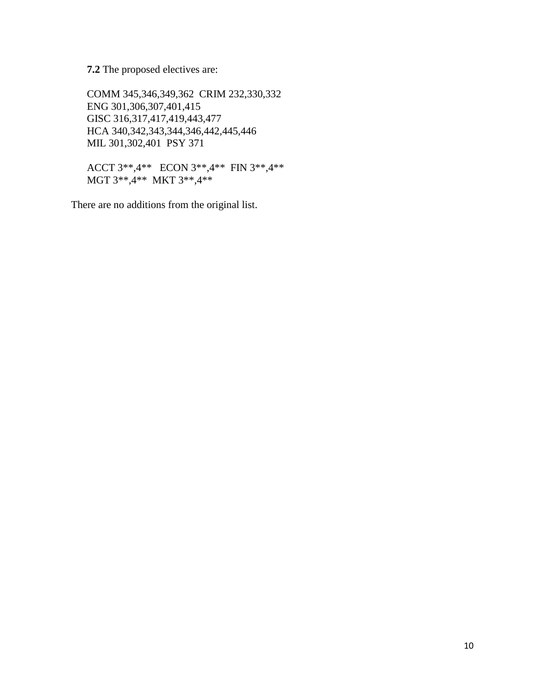**7.2** The proposed electives are:

COMM 345,346,349,362 CRIM 232,330,332 ENG 301,306,307,401,415 GISC 316,317,417,419,443,477 HCA 340,342,343,344,346,442,445,446 MIL 301,302,401 PSY 371

ACCT 3\*\*,4\*\* ECON 3\*\*,4\*\* FIN 3\*\*,4\*\* MGT 3\*\*,4\*\* MKT 3\*\*,4\*\*

There are no additions from the original list.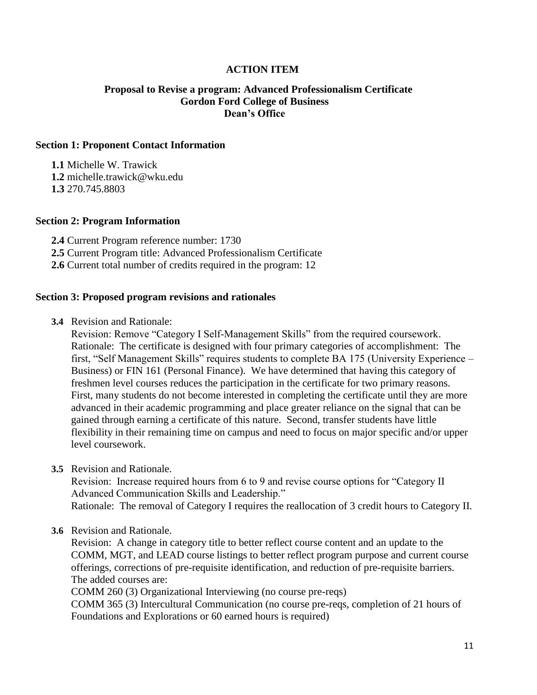#### **ACTION ITEM**

#### **Proposal to Revise a program: Advanced Professionalism Certificate Gordon Ford College of Business Dean's Office**

#### **Section 1: Proponent Contact Information**

**1.1** Michelle W. Trawick **1.2** michelle.trawick@wku.edu **1.3** 270.745.8803

#### **Section 2: Program Information**

**2.4** Current Program reference number: 1730 **2.5** Current Program title: Advanced Professionalism Certificate **2.6** Current total number of credits required in the program: 12

#### **Section 3: Proposed program revisions and rationales**

**3.4** Revision and Rationale:

Revision: Remove "Category I Self-Management Skills" from the required coursework. Rationale: The certificate is designed with four primary categories of accomplishment: The first, "Self Management Skills" requires students to complete BA 175 (University Experience – Business) or FIN 161 (Personal Finance). We have determined that having this category of freshmen level courses reduces the participation in the certificate for two primary reasons. First, many students do not become interested in completing the certificate until they are more advanced in their academic programming and place greater reliance on the signal that can be gained through earning a certificate of this nature. Second, transfer students have little flexibility in their remaining time on campus and need to focus on major specific and/or upper level coursework.

**3.5** Revision and Rationale.

Revision: Increase required hours from 6 to 9 and revise course options for "Category II Advanced Communication Skills and Leadership." Rationale: The removal of Category I requires the reallocation of 3 credit hours to Category II.

#### **3.6** Revision and Rationale.

Revision: A change in category title to better reflect course content and an update to the COMM, MGT, and LEAD course listings to better reflect program purpose and current course offerings, corrections of pre-requisite identification, and reduction of pre-requisite barriers. The added courses are:

COMM 260 (3) Organizational Interviewing (no course pre-reqs)

COMM 365 (3) Intercultural Communication (no course pre-reqs, completion of 21 hours of Foundations and Explorations or 60 earned hours is required)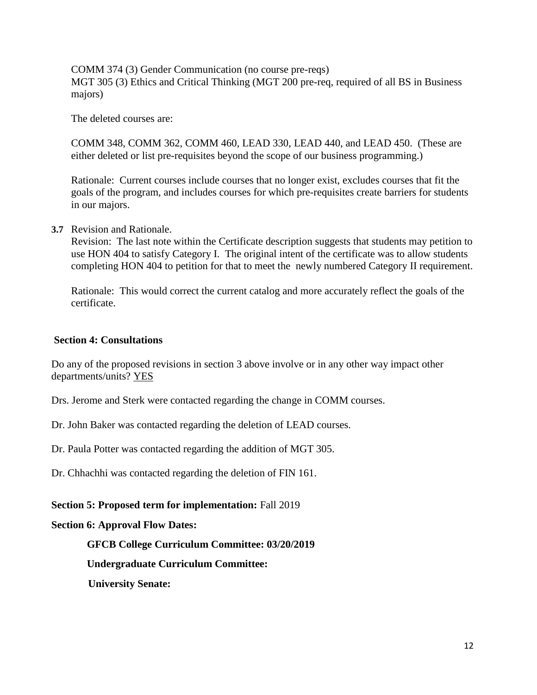COMM 374 (3) Gender Communication (no course pre-reqs) MGT 305 (3) Ethics and Critical Thinking (MGT 200 pre-req, required of all BS in Business majors)

The deleted courses are:

COMM 348, COMM 362, COMM 460, LEAD 330, LEAD 440, and LEAD 450. (These are either deleted or list pre-requisites beyond the scope of our business programming.)

Rationale: Current courses include courses that no longer exist, excludes courses that fit the goals of the program, and includes courses for which pre-requisites create barriers for students in our majors.

**3.7** Revision and Rationale.

Revision: The last note within the Certificate description suggests that students may petition to use HON 404 to satisfy Category I. The original intent of the certificate was to allow students completing HON 404 to petition for that to meet the newly numbered Category II requirement.

Rationale: This would correct the current catalog and more accurately reflect the goals of the certificate.

#### **Section 4: Consultations**

Do any of the proposed revisions in section 3 above involve or in any other way impact other departments/units? YES

Drs. Jerome and Sterk were contacted regarding the change in COMM courses.

Dr. John Baker was contacted regarding the deletion of LEAD courses.

Dr. Paula Potter was contacted regarding the addition of MGT 305.

Dr. Chhachhi was contacted regarding the deletion of FIN 161.

#### **Section 5: Proposed term for implementation:** Fall 2019

#### **Section 6: Approval Flow Dates:**

#### **GFCB College Curriculum Committee: 03/20/2019**

**Undergraduate Curriculum Committee:**

 **University Senate:**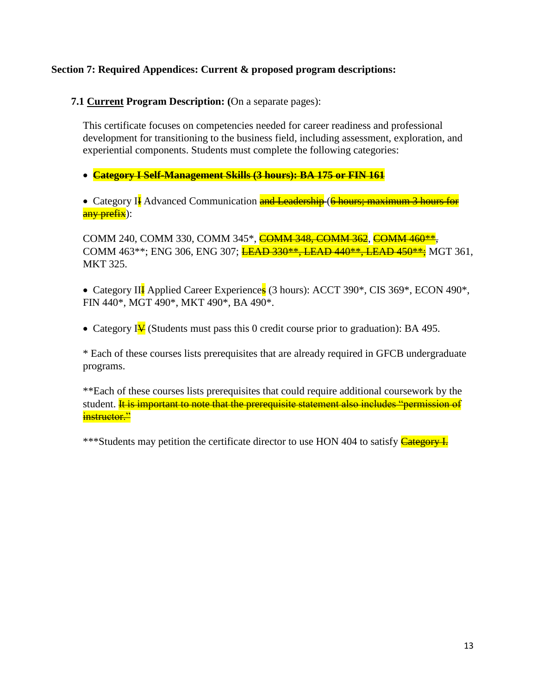### **Section 7: Required Appendices: Current & proposed program descriptions:**

**7.1 Current Program Description: (**On a separate pages):

This certificate focuses on competencies needed for career readiness and professional development for transitioning to the business field, including assessment, exploration, and experiential components. Students must complete the following categories:

**Category I Self-Management Skills (3 hours): BA 175 or FIN 161**

• Category II Advanced Communication and Leadership (6 hours; maximum 3 hours for any prefix):

COMM 240, COMM 330, COMM 345\*, COMM 348, COMM 362, COMM 460\*\*, COMM 463\*\*; ENG 306, ENG 307; **LEAD 330\*\*, LEAD 440\*\*, LEAD 450\*\*;** MGT 361, MKT 325.

• Category II<sup>I</sup> Applied Career Experiences (3 hours): ACCT 390<sup>\*</sup>, CIS 369<sup>\*</sup>, ECON 490<sup>\*</sup>, FIN 440\*, MGT 490\*, MKT 490\*, BA 490\*.

• Category IV (Students must pass this 0 credit course prior to graduation): BA 495.

\* Each of these courses lists prerequisites that are already required in GFCB undergraduate programs.

\*\*Each of these courses lists prerequisites that could require additional coursework by the student. **It is important to note that the prerequisite statement also includes "permission of** instructor."

\*\*\*Students may petition the certificate director to use HON 404 to satisfy **Category I.**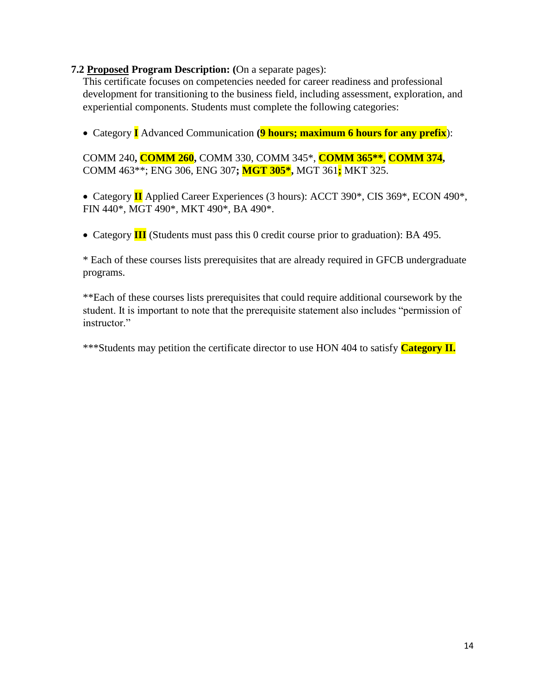#### **7.2 Proposed Program Description: (**On a separate pages):

This certificate focuses on competencies needed for career readiness and professional development for transitioning to the business field, including assessment, exploration, and experiential components. Students must complete the following categories:

Category **I** Advanced Communication **(9 hours; maximum 6 hours for any prefix**):

COMM 240**, COMM 260,** COMM 330, COMM 345\*, **COMM 365\*\*, COMM 374,** COMM 463\*\*; ENG 306, ENG 307**; MGT 305\*,** MGT 361**;** MKT 325.

 Category **II** Applied Career Experiences (3 hours): ACCT 390\*, CIS 369\*, ECON 490\*, FIN 440\*, MGT 490\*, MKT 490\*, BA 490\*.

Category **III** (Students must pass this 0 credit course prior to graduation): BA 495.

\* Each of these courses lists prerequisites that are already required in GFCB undergraduate programs.

\*\*Each of these courses lists prerequisites that could require additional coursework by the student. It is important to note that the prerequisite statement also includes "permission of instructor."

\*\*\*Students may petition the certificate director to use HON 404 to satisfy **Category II.**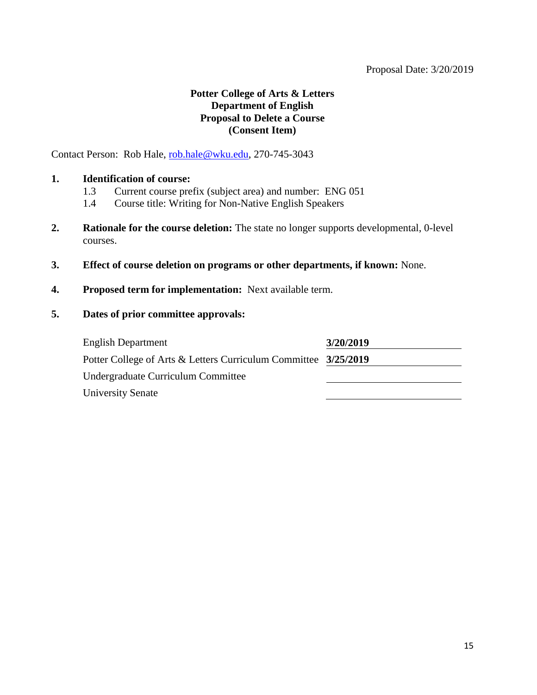### **Potter College of Arts & Letters Department of English Proposal to Delete a Course (Consent Item)**

Contact Person: Rob Hale, [rob.hale@wku.edu,](mailto:rob.hale@wku.edu) 270-745-3043

#### **1. Identification of course:**

- 1.3 Current course prefix (subject area) and number: ENG 051
- 1.4 Course title: Writing for Non-Native English Speakers
- **2. Rationale for the course deletion:** The state no longer supports developmental, 0-level courses.
- **3. Effect of course deletion on programs or other departments, if known:** None.
- **4. Proposed term for implementation:** Next available term.
- **5. Dates of prior committee approvals:**

| <b>English Department</b>                                       | 3/20/2019 |
|-----------------------------------------------------------------|-----------|
| Potter College of Arts & Letters Curriculum Committee 3/25/2019 |           |
| Undergraduate Curriculum Committee                              |           |
| <b>University Senate</b>                                        |           |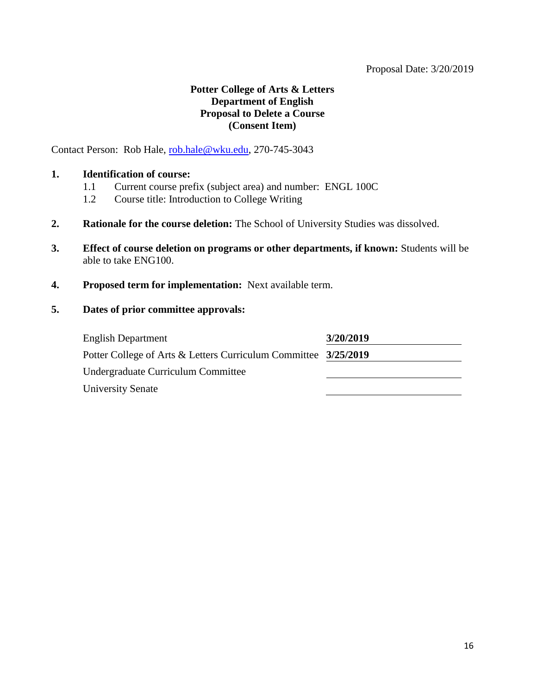### **Potter College of Arts & Letters Department of English Proposal to Delete a Course (Consent Item)**

Contact Person: Rob Hale, [rob.hale@wku.edu,](mailto:rob.hale@wku.edu) 270-745-3043

#### **1. Identification of course:**

- 1.1 Current course prefix (subject area) and number: ENGL 100C
- 1.2 Course title: Introduction to College Writing
- **2. Rationale for the course deletion:** The School of University Studies was dissolved.
- **3. Effect of course deletion on programs or other departments, if known:** Students will be able to take ENG100.
- **4. Proposed term for implementation:** Next available term.

| <b>English Department</b>                                       | 3/20/2019 |
|-----------------------------------------------------------------|-----------|
| Potter College of Arts & Letters Curriculum Committee 3/25/2019 |           |
| Undergraduate Curriculum Committee                              |           |
| <b>University Senate</b>                                        |           |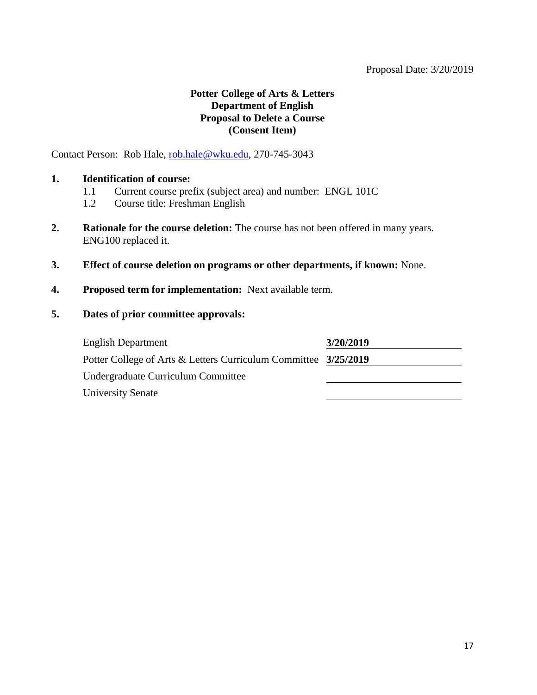### **Potter College of Arts & Letters Department of English Proposal to Delete a Course (Consent Item)**

Contact Person: Rob Hale, [rob.hale@wku.edu,](mailto:rob.hale@wku.edu) 270-745-3043

#### **1. Identification of course:**

- 1.1 Current course prefix (subject area) and number: ENGL 101C
- 1.2 Course title: Freshman English
- **2. Rationale for the course deletion:** The course has not been offered in many years. ENG100 replaced it.
- **3. Effect of course deletion on programs or other departments, if known:** None.
- **4. Proposed term for implementation:** Next available term.
- **5. Dates of prior committee approvals:**

| <b>English Department</b>                                       | 3/20/2019 |
|-----------------------------------------------------------------|-----------|
| Potter College of Arts & Letters Curriculum Committee 3/25/2019 |           |
| Undergraduate Curriculum Committee                              |           |
| <b>University Senate</b>                                        |           |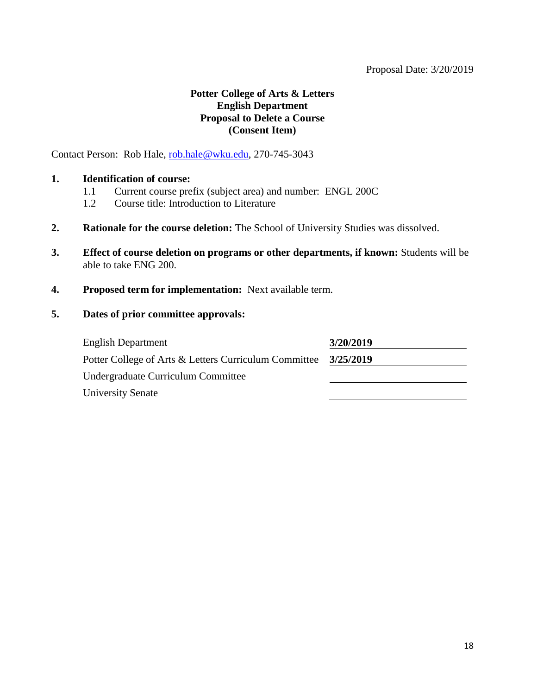### **Potter College of Arts & Letters English Department Proposal to Delete a Course (Consent Item)**

Contact Person: Rob Hale, [rob.hale@wku.edu,](mailto:rob.hale@wku.edu) 270-745-3043

#### **1. Identification of course:**

- 1.1 Current course prefix (subject area) and number: ENGL 200C
- 1.2 Course title: Introduction to Literature
- **2. Rationale for the course deletion:** The School of University Studies was dissolved.
- **3. Effect of course deletion on programs or other departments, if known:** Students will be able to take ENG 200.
- **4. Proposed term for implementation:** Next available term.

| <b>English Department</b>                             | 3/20/2019 |
|-------------------------------------------------------|-----------|
| Potter College of Arts & Letters Curriculum Committee | 3/25/2019 |
| Undergraduate Curriculum Committee                    |           |
| <b>University Senate</b>                              |           |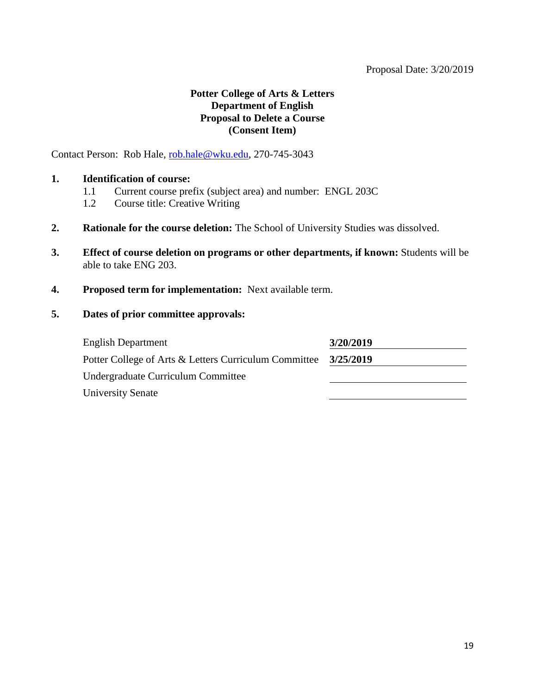### **Potter College of Arts & Letters Department of English Proposal to Delete a Course (Consent Item)**

Contact Person: Rob Hale, [rob.hale@wku.edu,](mailto:rob.hale@wku.edu) 270-745-3043

#### **1. Identification of course:**

- 1.1 Current course prefix (subject area) and number: ENGL 203C
- 1.2 Course title: Creative Writing
- **2. Rationale for the course deletion:** The School of University Studies was dissolved.
- **3. Effect of course deletion on programs or other departments, if known:** Students will be able to take ENG 203.
- **4. Proposed term for implementation:** Next available term.

| <b>English Department</b>                             | 3/20/2019 |
|-------------------------------------------------------|-----------|
| Potter College of Arts & Letters Curriculum Committee | 3/25/2019 |
| Undergraduate Curriculum Committee                    |           |
| <b>University Senate</b>                              |           |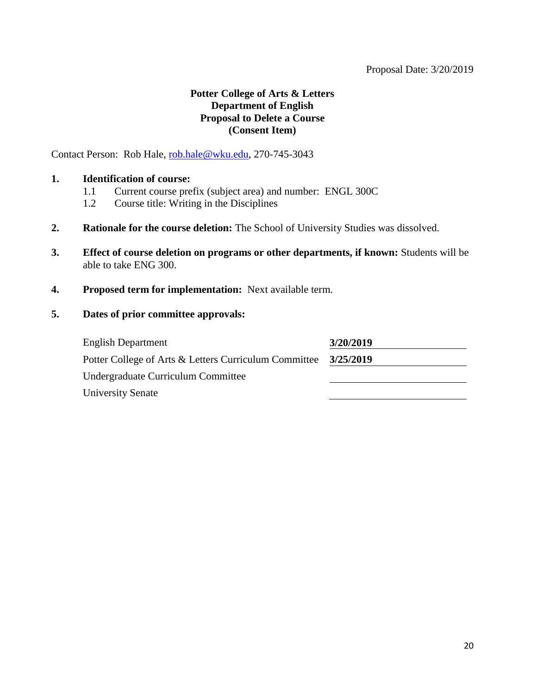### **Potter College of Arts & Letters Department of English Proposal to Delete a Course (Consent Item)**

Contact Person: Rob Hale, [rob.hale@wku.edu,](mailto:rob.hale@wku.edu) 270-745-3043

#### **1. Identification of course:**

- 1.1 Current course prefix (subject area) and number: ENGL 300C
- 1.2 Course title: Writing in the Disciplines
- **2. Rationale for the course deletion:** The School of University Studies was dissolved.
- **3. Effect of course deletion on programs or other departments, if known:** Students will be able to take ENG 300.
- **4. Proposed term for implementation:** Next available term.

| <b>English Department</b>                             | 3/20/2019 |
|-------------------------------------------------------|-----------|
| Potter College of Arts & Letters Curriculum Committee | 3/25/2019 |
| Undergraduate Curriculum Committee                    |           |
| <b>University Senate</b>                              |           |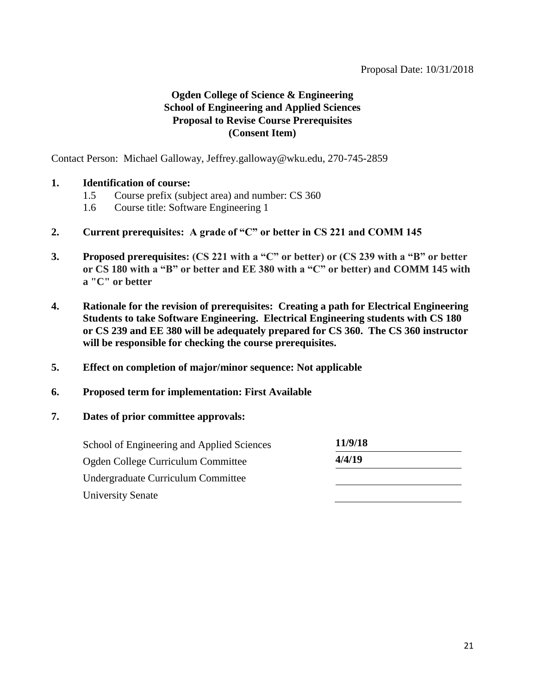### **Ogden College of Science & Engineering School of Engineering and Applied Sciences Proposal to Revise Course Prerequisites (Consent Item)**

Contact Person: Michael Galloway, Jeffrey.galloway@wku.edu, 270-745-2859

#### **1. Identification of course:**

- 1.5 Course prefix (subject area) and number: CS 360
- 1.6 Course title: Software Engineering 1
- **2. Current prerequisites: A grade of "C" or better in CS 221 and COMM 145**
- **3. Proposed prerequisites: (CS 221 with a "C" or better) or (CS 239 with a "B" or better or CS 180 with a "B" or better and EE 380 with a "C" or better) and COMM 145 with a "C" or better**
- **4. Rationale for the revision of prerequisites: Creating a path for Electrical Engineering Students to take Software Engineering. Electrical Engineering students with CS 180 or CS 239 and EE 380 will be adequately prepared for CS 360. The CS 360 instructor will be responsible for checking the course prerequisites.**
- **5. Effect on completion of major/minor sequence: Not applicable**
- **6. Proposed term for implementation: First Available**
- **7. Dates of prior committee approvals:**

| School of Engineering and Applied Sciences | 11/9/18 |  |
|--------------------------------------------|---------|--|
| Ogden College Curriculum Committee         | 4/4/19  |  |
| Undergraduate Curriculum Committee         |         |  |
| University Senate                          |         |  |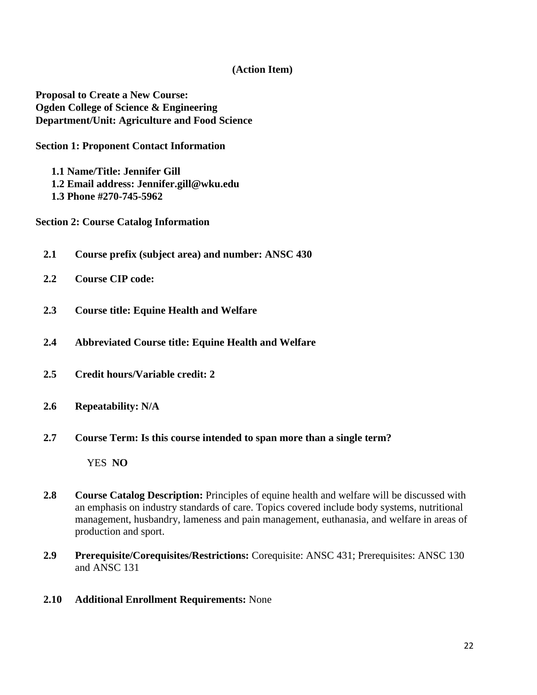#### **(Action Item)**

**Proposal to Create a New Course: Ogden College of Science & Engineering Department/Unit: Agriculture and Food Science**

**Section 1: Proponent Contact Information**

**1.1 Name/Title: Jennifer Gill 1.2 Email address: Jennifer.gill@wku.edu 1.3 Phone #270-745-5962**

**Section 2: Course Catalog Information** 

- **2.1 Course prefix (subject area) and number: ANSC 430**
- **2.2 Course CIP code:**
- **2.3 Course title: Equine Health and Welfare**
- **2.4 Abbreviated Course title: Equine Health and Welfare**
- **2.5 Credit hours/Variable credit: 2**
- **2.6 Repeatability: N/A**
- **2.7 Course Term: Is this course intended to span more than a single term?**

YES **NO**

- **2.8 Course Catalog Description:** Principles of equine health and welfare will be discussed with an emphasis on industry standards of care. Topics covered include body systems, nutritional management, husbandry, lameness and pain management, euthanasia, and welfare in areas of production and sport.
- **2.9 Prerequisite/Corequisites/Restrictions:** Corequisite: ANSC 431; Prerequisites: ANSC 130 and ANSC 131
- **2.10 Additional Enrollment Requirements:** None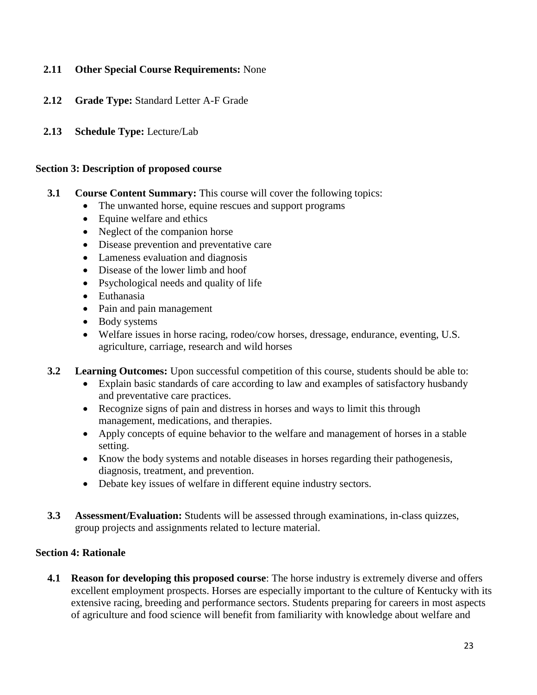### **2.11 Other Special Course Requirements:** None

- **2.12 Grade Type:** Standard Letter A-F Grade
- **2.13 Schedule Type:** Lecture/Lab

#### **Section 3: Description of proposed course**

- **3.1 Course Content Summary:** This course will cover the following topics:
	- The unwanted horse, equine rescues and support programs
	- Equine welfare and ethics
	- Neglect of the companion horse
	- Disease prevention and preventative care
	- Lameness evaluation and diagnosis
	- Disease of the lower limb and hoof
	- Psychological needs and quality of life
	- Euthanasia
	- Pain and pain management
	- Body systems
	- Welfare issues in horse racing, rodeo/cow horses, dressage, endurance, eventing, U.S. agriculture, carriage, research and wild horses
- **3.2 Learning Outcomes:** Upon successful competition of this course, students should be able to:
	- Explain basic standards of care according to law and examples of satisfactory husbandy and preventative care practices.
	- Recognize signs of pain and distress in horses and ways to limit this through management, medications, and therapies.
	- Apply concepts of equine behavior to the welfare and management of horses in a stable setting.
	- Know the body systems and notable diseases in horses regarding their pathogenesis, diagnosis, treatment, and prevention.
	- Debate key issues of welfare in different equine industry sectors.
- **3.3 Assessment/Evaluation:** Students will be assessed through examinations, in-class quizzes, group projects and assignments related to lecture material.

### **Section 4: Rationale**

**4.1 Reason for developing this proposed course**: The horse industry is extremely diverse and offers excellent employment prospects. Horses are especially important to the culture of Kentucky with its extensive racing, breeding and performance sectors. Students preparing for careers in most aspects of agriculture and food science will benefit from familiarity with knowledge about welfare and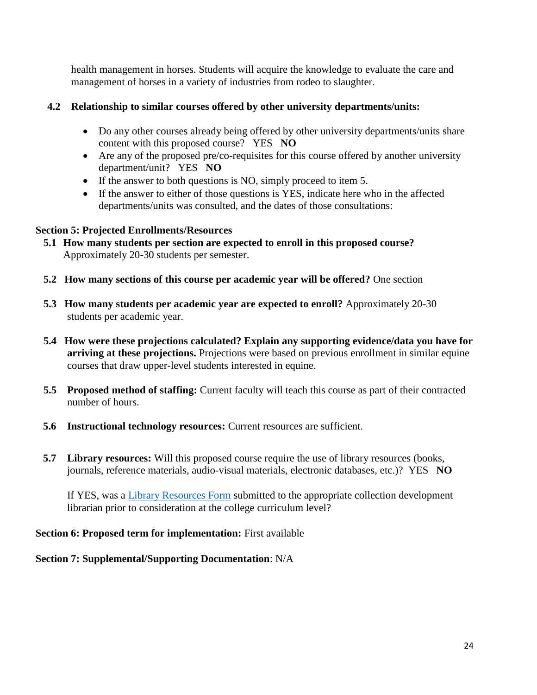health management in horses. Students will acquire the knowledge to evaluate the care and management of horses in a variety of industries from rodeo to slaughter.

### **4.2 Relationship to similar courses offered by other university departments/units:**

- Do any other courses already being offered by other university departments/units share content with this proposed course? YES **NO**
- Are any of the proposed pre/co-requisites for this course offered by another university department/unit? YES **NO**
- If the answer to both questions is NO, simply proceed to item 5.
- If the answer to either of those questions is YES, indicate here who in the affected departments/units was consulted, and the dates of those consultations:

### **Section 5: Projected Enrollments/Resources**

- **5.1 How many students per section are expected to enroll in this proposed course?**  Approximately 20-30 students per semester.
- **5.2 How many sections of this course per academic year will be offered?** One section
- **5.3 How many students per academic year are expected to enroll?** Approximately 20-30 students per academic year.
- **5.4 How were these projections calculated? Explain any supporting evidence/data you have for arriving at these projections.** Projections were based on previous enrollment in similar equine courses that draw upper-level students interested in equine.
- **5.5 Proposed method of staffing:** Current faculty will teach this course as part of their contracted number of hours.
- **5.6 Instructional technology resources:** Current resources are sufficient.
- **5.7 Library resources:** Will this proposed course require the use of library resources (books, journals, reference materials, audio-visual materials, electronic databases, etc.)? YES **NO**

If YES, was a [Library Resources Form](https://www.wku.edu/library/forms.php) submitted to the appropriate collection development librarian prior to consideration at the college curriculum level?

### **Section 6: Proposed term for implementation:** First available

# **Section 7: Supplemental/Supporting Documentation**: N/A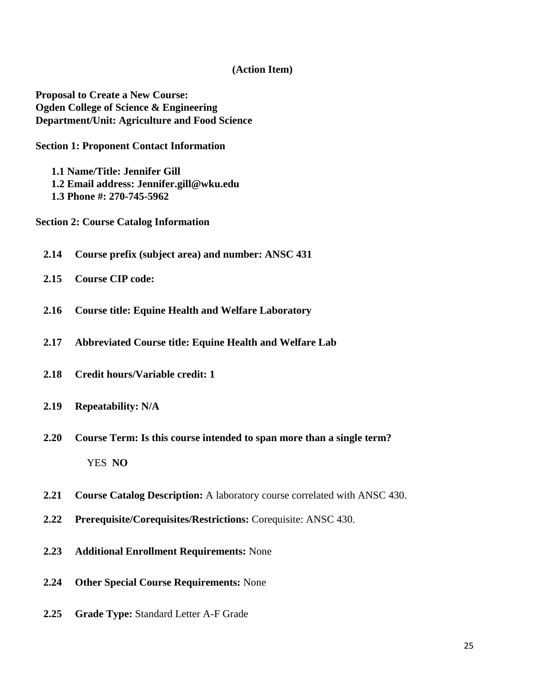#### **(Action Item)**

**Proposal to Create a New Course: Ogden College of Science & Engineering Department/Unit: Agriculture and Food Science**

**Section 1: Proponent Contact Information**

**1.1 Name/Title: Jennifer Gill 1.2 Email address: Jennifer.gill@wku.edu 1.3 Phone #: 270-745-5962**

**Section 2: Course Catalog Information** 

- **2.14 Course prefix (subject area) and number: ANSC 431**
- **2.15 Course CIP code:**
- **2.16 Course title: Equine Health and Welfare Laboratory**
- **2.17 Abbreviated Course title: Equine Health and Welfare Lab**
- **2.18 Credit hours/Variable credit: 1**
- **2.19 Repeatability: N/A**
- **2.20 Course Term: Is this course intended to span more than a single term?** YES **NO**
- **2.21 Course Catalog Description:** A laboratory course correlated with ANSC 430.
- **2.22 Prerequisite/Corequisites/Restrictions:** Corequisite: ANSC 430.
- **2.23 Additional Enrollment Requirements:** None
- **2.24 Other Special Course Requirements:** None
- **2.25 Grade Type:** Standard Letter A-F Grade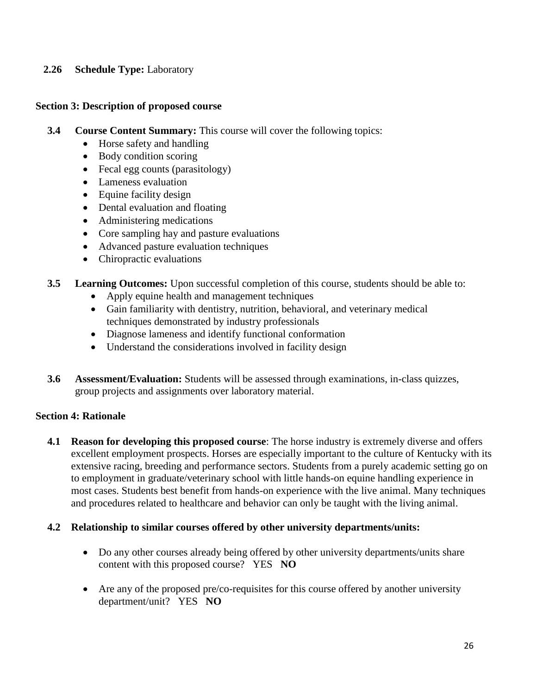### **2.26 Schedule Type:** Laboratory

#### **Section 3: Description of proposed course**

- **3.4 Course Content Summary:** This course will cover the following topics:
	- Horse safety and handling
	- Body condition scoring
	- Fecal egg counts (parasitology)
	- Lameness evaluation
	- Equine facility design
	- Dental evaluation and floating
	- Administering medications
	- Core sampling hay and pasture evaluations
	- Advanced pasture evaluation techniques
	- Chiropractic evaluations
- **3.5 Learning Outcomes:** Upon successful completion of this course, students should be able to:
	- Apply equine health and management techniques
	- Gain familiarity with dentistry, nutrition, behavioral, and veterinary medical techniques demonstrated by industry professionals
	- Diagnose lameness and identify functional conformation
	- Understand the considerations involved in facility design
- **3.6 Assessment/Evaluation:** Students will be assessed through examinations, in-class quizzes, group projects and assignments over laboratory material.

### **Section 4: Rationale**

**4.1 Reason for developing this proposed course**: The horse industry is extremely diverse and offers excellent employment prospects. Horses are especially important to the culture of Kentucky with its extensive racing, breeding and performance sectors. Students from a purely academic setting go on to employment in graduate/veterinary school with little hands-on equine handling experience in most cases. Students best benefit from hands-on experience with the live animal. Many techniques and procedures related to healthcare and behavior can only be taught with the living animal.

### **4.2 Relationship to similar courses offered by other university departments/units:**

- Do any other courses already being offered by other university departments/units share content with this proposed course? YES **NO**
- Are any of the proposed pre/co-requisites for this course offered by another university department/unit? YES **NO**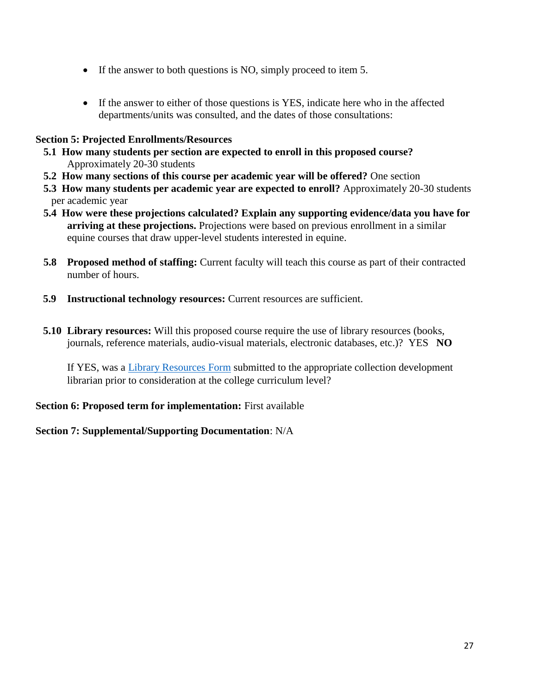- If the answer to both questions is NO, simply proceed to item 5.
- If the answer to either of those questions is YES, indicate here who in the affected departments/units was consulted, and the dates of those consultations:

#### **Section 5: Projected Enrollments/Resources**

- **5.1 How many students per section are expected to enroll in this proposed course?**  Approximately 20-30 students
- **5.2 How many sections of this course per academic year will be offered?** One section
- **5.3 How many students per academic year are expected to enroll?** Approximately 20-30 students per academic year
- **5.4 How were these projections calculated? Explain any supporting evidence/data you have for arriving at these projections.** Projections were based on previous enrollment in a similar equine courses that draw upper-level students interested in equine.
- **5.8 Proposed method of staffing:** Current faculty will teach this course as part of their contracted number of hours.
- **5.9 Instructional technology resources:** Current resources are sufficient.
- **5.10 Library resources:** Will this proposed course require the use of library resources (books, journals, reference materials, audio-visual materials, electronic databases, etc.)? YES **NO**

If YES, was a [Library Resources Form](https://www.wku.edu/library/forms.php) submitted to the appropriate collection development librarian prior to consideration at the college curriculum level?

### **Section 6: Proposed term for implementation:** First available

### **Section 7: Supplemental/Supporting Documentation**: N/A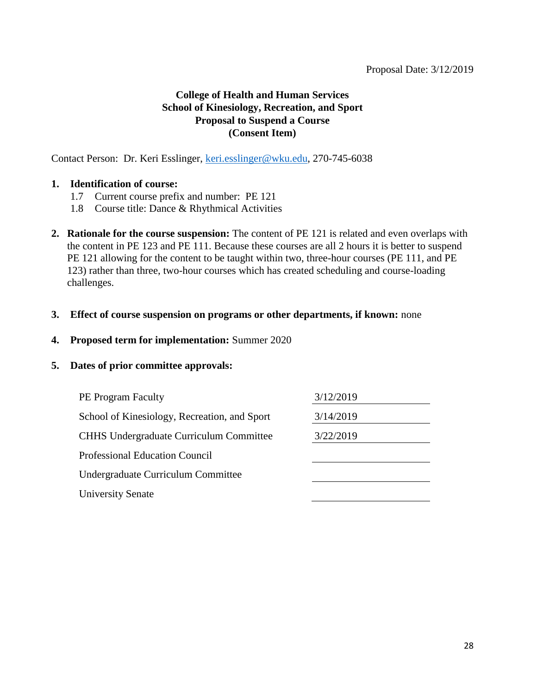### **College of Health and Human Services School of Kinesiology, Recreation, and Sport Proposal to Suspend a Course (Consent Item)**

Contact Person: Dr. Keri Esslinger, [keri.esslinger@wku.edu,](mailto:keri.esslinger@wku.edu) 270-745-6038

#### **1. Identification of course:**

- 1.7 Current course prefix and number: PE 121
- 1.8 Course title: Dance & Rhythmical Activities
- **2. Rationale for the course suspension:** The content of PE 121 is related and even overlaps with the content in PE 123 and PE 111. Because these courses are all 2 hours it is better to suspend PE 121 allowing for the content to be taught within two, three-hour courses (PE 111, and PE 123) rather than three, two-hour courses which has created scheduling and course-loading challenges.

#### **3. Effect of course suspension on programs or other departments, if known:** none

### **4. Proposed term for implementation:** Summer 2020

| 3/12/2019 |
|-----------|
| 3/14/2019 |
| 3/22/2019 |
|           |
|           |
|           |
|           |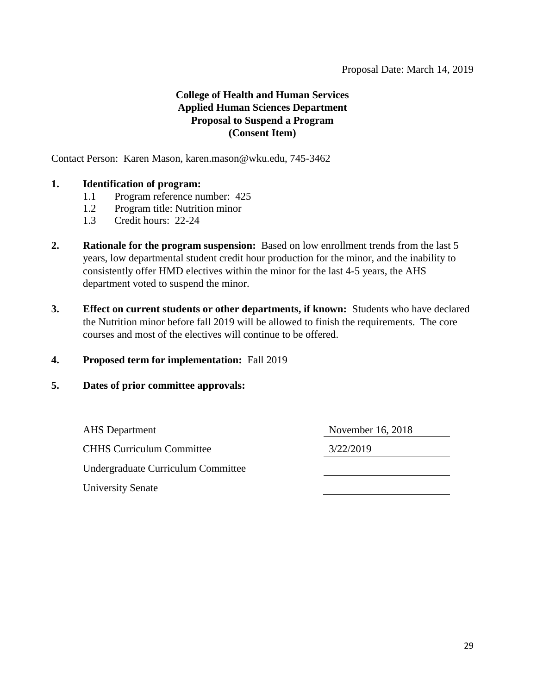### **College of Health and Human Services Applied Human Sciences Department Proposal to Suspend a Program (Consent Item)**

Contact Person: Karen Mason, karen.mason@wku.edu, 745-3462

#### **1. Identification of program:**

- 1.1 Program reference number: 425
- 1.2 Program title: Nutrition minor
- 1.3 Credit hours: 22-24
- **2. Rationale for the program suspension:** Based on low enrollment trends from the last 5 years, low departmental student credit hour production for the minor, and the inability to consistently offer HMD electives within the minor for the last 4-5 years, the AHS department voted to suspend the minor.
- **3. Effect on current students or other departments, if known:** Students who have declared the Nutrition minor before fall 2019 will be allowed to finish the requirements. The core courses and most of the electives will continue to be offered.
- **4. Proposed term for implementation:** Fall 2019

#### **5. Dates of prior committee approvals:**

AHS Department November 16, 2018 CHHS Curriculum Committee 3/22/2019 Undergraduate Curriculum Committee University Senate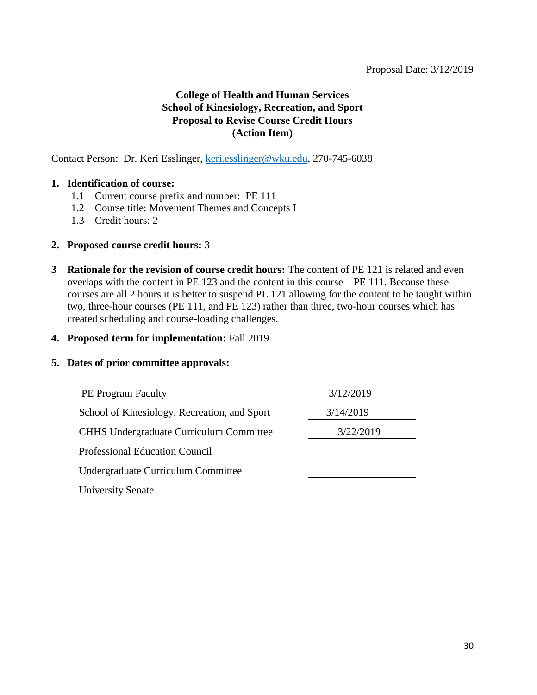### **College of Health and Human Services School of Kinesiology, Recreation, and Sport Proposal to Revise Course Credit Hours (Action Item)**

Contact Person: Dr. Keri Esslinger, [keri.esslinger@wku.edu,](mailto:keri.esslinger@wku.edu) 270-745-6038

#### **1. Identification of course:**

- 1.1 Current course prefix and number: PE 111
- 1.2 Course title: Movement Themes and Concepts I
- 1.3 Credit hours: 2

#### **2. Proposed course credit hours:** 3

**3 Rationale for the revision of course credit hours:** The content of PE 121 is related and even overlaps with the content in PE 123 and the content in this course – PE 111. Because these courses are all 2 hours it is better to suspend PE 121 allowing for the content to be taught within two, three-hour courses (PE 111, and PE 123) rather than three, two-hour courses which has created scheduling and course-loading challenges.

#### **4. Proposed term for implementation:** Fall 2019

| <b>PE Program Faculty</b>                      | 3/12/2019 |
|------------------------------------------------|-----------|
| School of Kinesiology, Recreation, and Sport   | 3/14/2019 |
| <b>CHHS Undergraduate Curriculum Committee</b> | 3/22/2019 |
| <b>Professional Education Council</b>          |           |
| Undergraduate Curriculum Committee             |           |
| <b>University Senate</b>                       |           |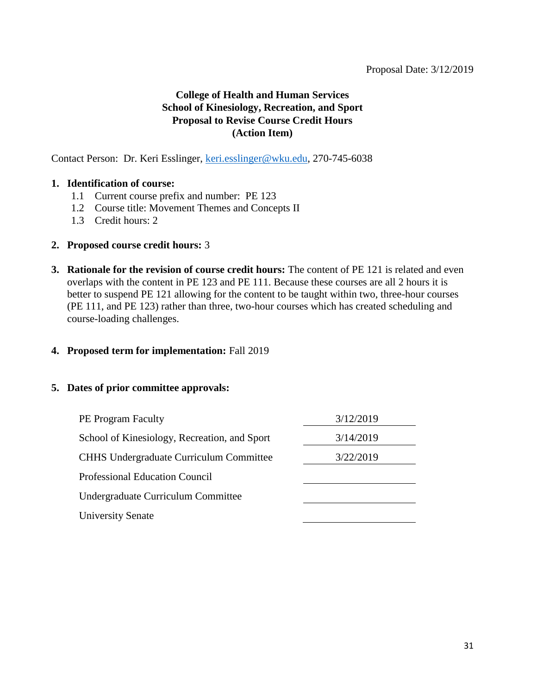### **College of Health and Human Services School of Kinesiology, Recreation, and Sport Proposal to Revise Course Credit Hours (Action Item)**

Contact Person: Dr. Keri Esslinger, [keri.esslinger@wku.edu,](mailto:keri.esslinger@wku.edu) 270-745-6038

#### **1. Identification of course:**

- 1.1 Current course prefix and number: PE 123
- 1.2 Course title: Movement Themes and Concepts II
- 1.3 Credit hours: 2

#### **2. Proposed course credit hours:** 3

**3. Rationale for the revision of course credit hours:** The content of PE 121 is related and even overlaps with the content in PE 123 and PE 111. Because these courses are all 2 hours it is better to suspend PE 121 allowing for the content to be taught within two, three-hour courses (PE 111, and PE 123) rather than three, two-hour courses which has created scheduling and course-loading challenges.

#### **4. Proposed term for implementation:** Fall 2019

| 3/12/2019 |
|-----------|
| 3/14/2019 |
| 3/22/2019 |
|           |
|           |
|           |
|           |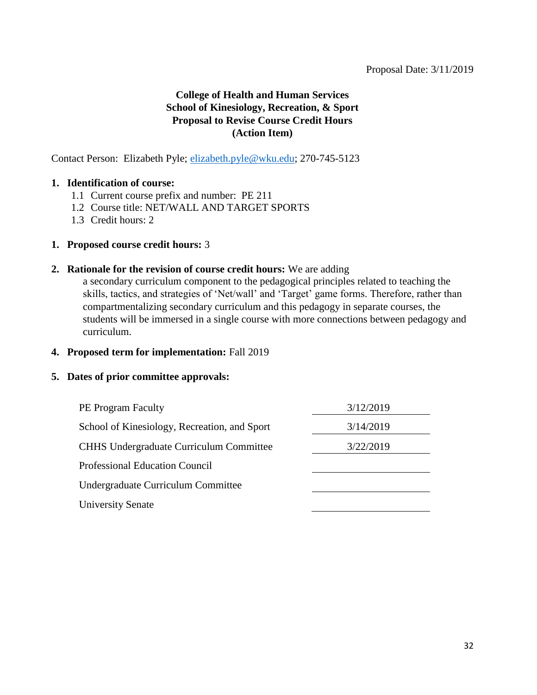### **College of Health and Human Services School of Kinesiology, Recreation, & Sport Proposal to Revise Course Credit Hours (Action Item)**

Contact Person: Elizabeth Pyle; [elizabeth.pyle@wku.edu;](mailto:elizabeth.pyle@wku.edu) 270-745-5123

#### **1. Identification of course:**

- 1.1 Current course prefix and number: PE 211
- 1.2 Course title: NET/WALL AND TARGET SPORTS
- 1.3 Credit hours: 2

#### **1. Proposed course credit hours:** 3

#### **2. Rationale for the revision of course credit hours:** We are adding

a secondary curriculum component to the pedagogical principles related to teaching the skills, tactics, and strategies of 'Net/wall' and 'Target' game forms. Therefore, rather than compartmentalizing secondary curriculum and this pedagogy in separate courses, the students will be immersed in a single course with more connections between pedagogy and curriculum.

#### **4. Proposed term for implementation:** Fall 2019

| <b>PE Program Faculty</b>                      | 3/12/2019 |
|------------------------------------------------|-----------|
| School of Kinesiology, Recreation, and Sport   | 3/14/2019 |
| <b>CHHS Undergraduate Curriculum Committee</b> | 3/22/2019 |
| <b>Professional Education Council</b>          |           |
| Undergraduate Curriculum Committee             |           |
| <b>University Senate</b>                       |           |
|                                                |           |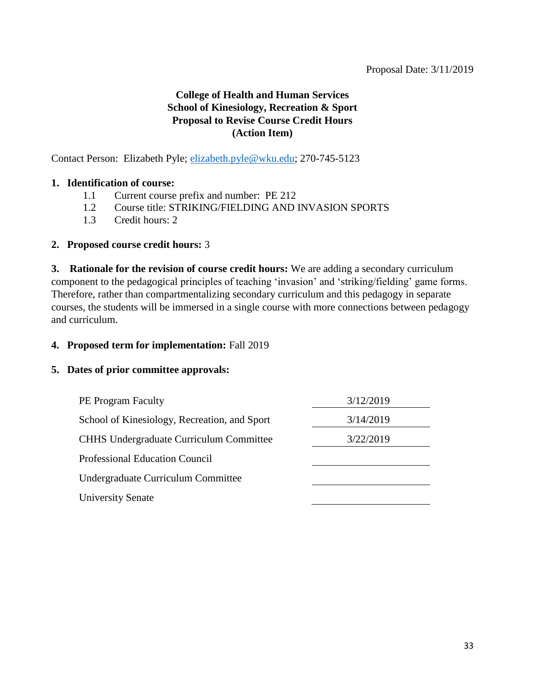### **College of Health and Human Services School of Kinesiology, Recreation & Sport Proposal to Revise Course Credit Hours (Action Item)**

Contact Person: Elizabeth Pyle; [elizabeth.pyle@wku.edu;](mailto:elizabeth.pyle@wku.edu) 270-745-5123

#### **1. Identification of course:**

- 1.1 Current course prefix and number: PE 212
- 1.2 Course title: STRIKING/FIELDING AND INVASION SPORTS
- 1.3 Credit hours: 2

#### **2. Proposed course credit hours:** 3

**3. Rationale for the revision of course credit hours:** We are adding a secondary curriculum component to the pedagogical principles of teaching 'invasion' and 'striking/fielding' game forms. Therefore, rather than compartmentalizing secondary curriculum and this pedagogy in separate courses, the students will be immersed in a single course with more connections between pedagogy and curriculum.

#### **4. Proposed term for implementation:** Fall 2019

| <b>PE Program Faculty</b>                      | 3/12/2019 |
|------------------------------------------------|-----------|
| School of Kinesiology, Recreation, and Sport   | 3/14/2019 |
| <b>CHHS Undergraduate Curriculum Committee</b> | 3/22/2019 |
| <b>Professional Education Council</b>          |           |
| Undergraduate Curriculum Committee             |           |
| <b>University Senate</b>                       |           |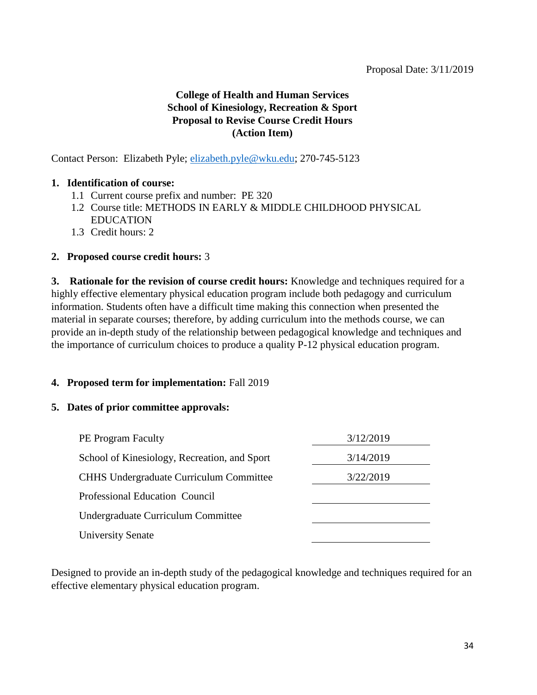### **College of Health and Human Services School of Kinesiology, Recreation & Sport Proposal to Revise Course Credit Hours (Action Item)**

Contact Person: Elizabeth Pyle; [elizabeth.pyle@wku.edu;](mailto:elizabeth.pyle@wku.edu) 270-745-5123

#### **1. Identification of course:**

- 1.1 Current course prefix and number: PE 320
- 1.2 Course title: METHODS IN EARLY & MIDDLE CHILDHOOD PHYSICAL EDUCATION
- 1.3 Credit hours: 2

#### **2. Proposed course credit hours:** 3

**3. Rationale for the revision of course credit hours:** Knowledge and techniques required for a highly effective elementary physical education program include both pedagogy and curriculum information. Students often have a difficult time making this connection when presented the material in separate courses; therefore, by adding curriculum into the methods course, we can provide an in-depth study of the relationship between pedagogical knowledge and techniques and the importance of curriculum choices to produce a quality P-12 physical education program.

#### **4. Proposed term for implementation:** Fall 2019

#### **5. Dates of prior committee approvals:**

| <b>PE Program Faculty</b>                      | 3/12/2019 |
|------------------------------------------------|-----------|
| School of Kinesiology, Recreation, and Sport   | 3/14/2019 |
| <b>CHHS Undergraduate Curriculum Committee</b> | 3/22/2019 |
| Professional Education Council                 |           |
| Undergraduate Curriculum Committee             |           |
| <b>University Senate</b>                       |           |

Designed to provide an in-depth study of the pedagogical knowledge and techniques required for an effective elementary physical education program.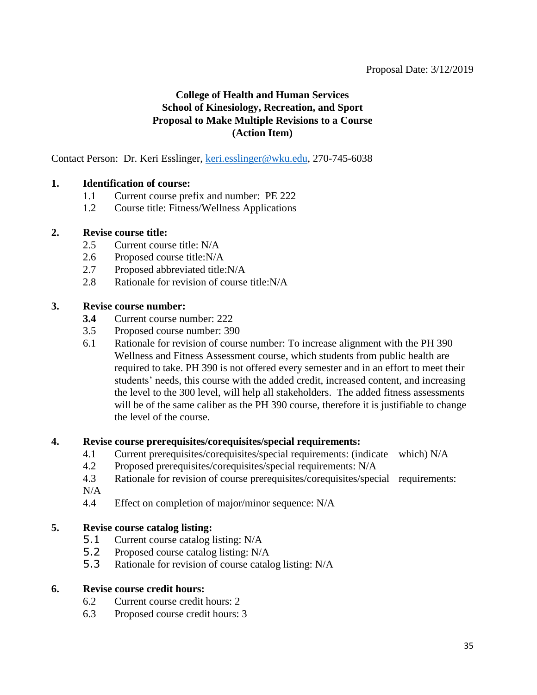### **College of Health and Human Services School of Kinesiology, Recreation, and Sport Proposal to Make Multiple Revisions to a Course (Action Item)**

Contact Person: Dr. Keri Esslinger, [keri.esslinger@wku.edu,](mailto:keri.esslinger@wku.edu) 270-745-6038

#### **1. Identification of course:**

- 1.1 Current course prefix and number: PE 222
- 1.2 Course title: Fitness/Wellness Applications

#### **2. Revise course title:**

- 2.5 Current course title: N/A
- 2.6 Proposed course title:N/A
- 2.7 Proposed abbreviated title:N/A
- 2.8 Rationale for revision of course title:N/A

#### **3. Revise course number:**

- **3.4** Current course number: 222
- 3.5 Proposed course number: 390
- 6.1 Rationale for revision of course number: To increase alignment with the PH 390 Wellness and Fitness Assessment course, which students from public health are required to take. PH 390 is not offered every semester and in an effort to meet their students' needs, this course with the added credit, increased content, and increasing the level to the 300 level, will help all stakeholders. The added fitness assessments will be of the same caliber as the PH 390 course, therefore it is justifiable to change the level of the course.

#### **4. Revise course prerequisites/corequisites/special requirements:**

- 4.1 Current prerequisites/corequisites/special requirements: (indicate which) N/A
- 4.2 Proposed prerequisites/corequisites/special requirements: N/A
- 4.3 Rationale for revision of course prerequisites/corequisites/special requirements:  $N/A$
- 4.4 Effect on completion of major/minor sequence: N/A

#### **5. Revise course catalog listing:**

- 5.1 Current course catalog listing: N/A
- 5.2 Proposed course catalog listing: N/A
- 5.3 Rationale for revision of course catalog listing: N/A

#### **6. Revise course credit hours:**

- 6.2 Current course credit hours: 2
- 6.3 Proposed course credit hours: 3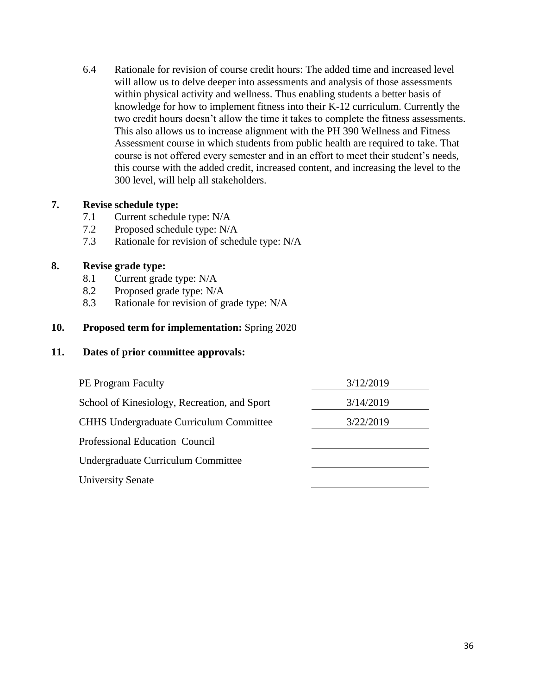6.4 Rationale for revision of course credit hours: The added time and increased level will allow us to delve deeper into assessments and analysis of those assessments within physical activity and wellness. Thus enabling students a better basis of knowledge for how to implement fitness into their K-12 curriculum. Currently the two credit hours doesn't allow the time it takes to complete the fitness assessments. This also allows us to increase alignment with the PH 390 Wellness and Fitness Assessment course in which students from public health are required to take. That course is not offered every semester and in an effort to meet their student's needs, this course with the added credit, increased content, and increasing the level to the 300 level, will help all stakeholders.

### **7. Revise schedule type:**

- 7.1 Current schedule type: N/A
- 7.2 Proposed schedule type: N/A
- 7.3 Rationale for revision of schedule type: N/A

### **8. Revise grade type:**

- 8.1 Current grade type: N/A
- 8.2 Proposed grade type: N/A
- 8.3 Rationale for revision of grade type: N/A

#### **10. Proposed term for implementation:** Spring 2020

| <b>PE Program Faculty</b>                      | 3/12/2019 |
|------------------------------------------------|-----------|
| School of Kinesiology, Recreation, and Sport   | 3/14/2019 |
| <b>CHHS Undergraduate Curriculum Committee</b> | 3/22/2019 |
| Professional Education Council                 |           |
| Undergraduate Curriculum Committee             |           |
| <b>University Senate</b>                       |           |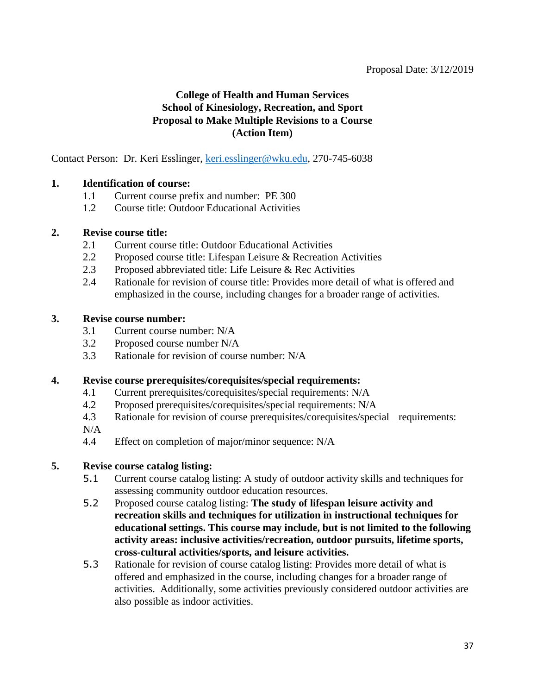### **College of Health and Human Services School of Kinesiology, Recreation, and Sport Proposal to Make Multiple Revisions to a Course (Action Item)**

Contact Person: Dr. Keri Esslinger, [keri.esslinger@wku.edu,](mailto:keri.esslinger@wku.edu) 270-745-6038

#### **1. Identification of course:**

- 1.1 Current course prefix and number: PE 300
- 1.2 Course title: Outdoor Educational Activities

#### **2. Revise course title:**

- 2.1 Current course title: Outdoor Educational Activities
- 2.2 Proposed course title: Lifespan Leisure & Recreation Activities
- 2.3 Proposed abbreviated title: Life Leisure & Rec Activities
- 2.4 Rationale for revision of course title: Provides more detail of what is offered and emphasized in the course, including changes for a broader range of activities.

#### **3. Revise course number:**

- 3.1 Current course number: N/A
- 3.2 Proposed course number N/A
- 3.3 Rationale for revision of course number: N/A

#### **4. Revise course prerequisites/corequisites/special requirements:**

- 4.1 Current prerequisites/corequisites/special requirements: N/A
- 4.2 Proposed prerequisites/corequisites/special requirements: N/A
- 4.3 Rationale for revision of course prerequisites/corequisites/special requirements:
- N/A
- 4.4 Effect on completion of major/minor sequence: N/A

#### **5. Revise course catalog listing:**

- 5.1 Current course catalog listing: A study of outdoor activity skills and techniques for assessing community outdoor education resources.
- 5.2 Proposed course catalog listing: **The study of lifespan leisure activity and recreation skills and techniques for utilization in instructional techniques for educational settings. This course may include, but is not limited to the following activity areas: inclusive activities/recreation, outdoor pursuits, lifetime sports, cross-cultural activities/sports, and leisure activities.**
- 5.3 Rationale for revision of course catalog listing: Provides more detail of what is offered and emphasized in the course, including changes for a broader range of activities. Additionally, some activities previously considered outdoor activities are also possible as indoor activities.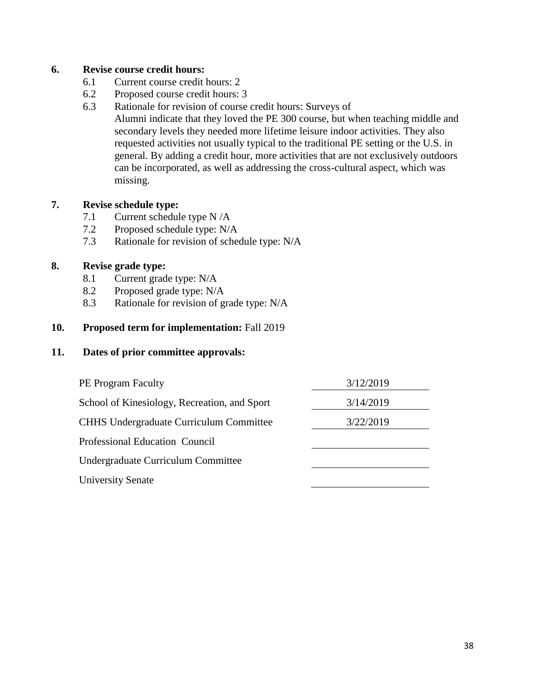#### **6. Revise course credit hours:**

- 6.1 Current course credit hours: 2
- 6.2 Proposed course credit hours: 3
- 6.3 Rationale for revision of course credit hours: Surveys of Alumni indicate that they loved the PE 300 course, but when teaching middle and secondary levels they needed more lifetime leisure indoor activities. They also requested activities not usually typical to the traditional PE setting or the U.S. in general. By adding a credit hour, more activities that are not exclusively outdoors can be incorporated, as well as addressing the cross-cultural aspect, which was missing.

### **7. Revise schedule type:**

- 7.1 Current schedule type N /A
- 7.2 Proposed schedule type: N/A
- 7.3 Rationale for revision of schedule type: N/A

### **8. Revise grade type:**

- 8.1 Current grade type: N/A
- 8.2 Proposed grade type: N/A
- 8.3 Rationale for revision of grade type: N/A

#### **10. Proposed term for implementation:** Fall 2019

| <b>PE</b> Program Faculty                      | 3/12/2019 |
|------------------------------------------------|-----------|
| School of Kinesiology, Recreation, and Sport   | 3/14/2019 |
| <b>CHHS Undergraduate Curriculum Committee</b> | 3/22/2019 |
| Professional Education Council                 |           |
| Undergraduate Curriculum Committee             |           |
| <b>University Senate</b>                       |           |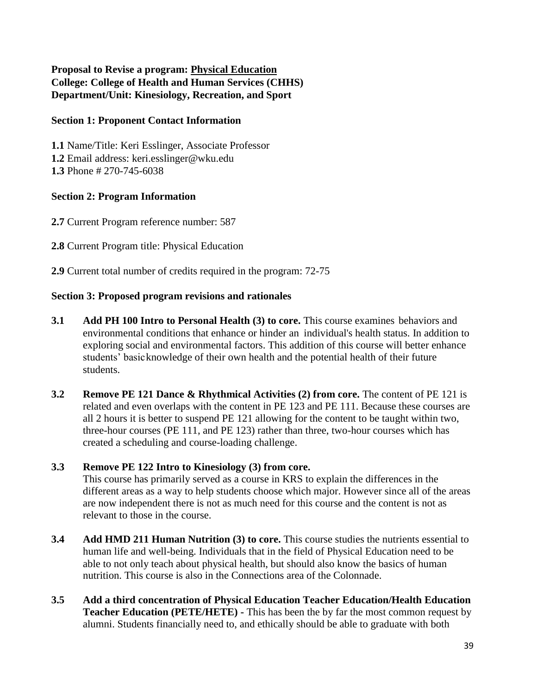**Proposal to Revise a program: Physical Education College: College of Health and Human Services (CHHS) Department/Unit: Kinesiology, Recreation, and Sport**

#### **Section 1: Proponent Contact Information**

**1.1** Name/Title: Keri Esslinger, Associate Professor **1.2** Email address: keri.esslinger@wku.edu **1.3** Phone # 270-745-6038

#### **Section 2: Program Information**

**2.7** Current Program reference number: 587

- **2.8** Current Program title: Physical Education
- **2.9** Current total number of credits required in the program: 72-75

#### **Section 3: Proposed program revisions and rationales**

- **3.1 Add PH 100 Intro to Personal Health (3) to core.** This course examines behaviors and environmental conditions that enhance or hinder an individual's health status. In addition to exploring social and environmental factors. This addition of this course will better enhance students' basicknowledge of their own health and the potential health of their future students.
- **3.2** Remove PE 121 Dance & Rhythmical Activities (2) from core. The content of PE 121 is related and even overlaps with the content in PE 123 and PE 111. Because these courses are all 2 hours it is better to suspend PE 121 allowing for the content to be taught within two, three-hour courses (PE 111, and PE 123) rather than three, two-hour courses which has created a scheduling and course-loading challenge.

#### **3.3 Remove PE 122 Intro to Kinesiology (3) from core.**

This course has primarily served as a course in KRS to explain the differences in the different areas as a way to help students choose which major. However since all of the areas are now independent there is not as much need for this course and the content is not as relevant to those in the course.

- **3.4 Add HMD 211 Human Nutrition (3) to core.** This course studies the nutrients essential to human life and well-being. Individuals that in the field of Physical Education need to be able to not only teach about physical health, but should also know the basics of human nutrition. This course is also in the Connections area of the Colonnade.
- **3.5 Add a third concentration of Physical Education Teacher Education/Health Education Teacher Education (PETE/HETE) -** This has been the by far the most common request by alumni. Students financially need to, and ethically should be able to graduate with both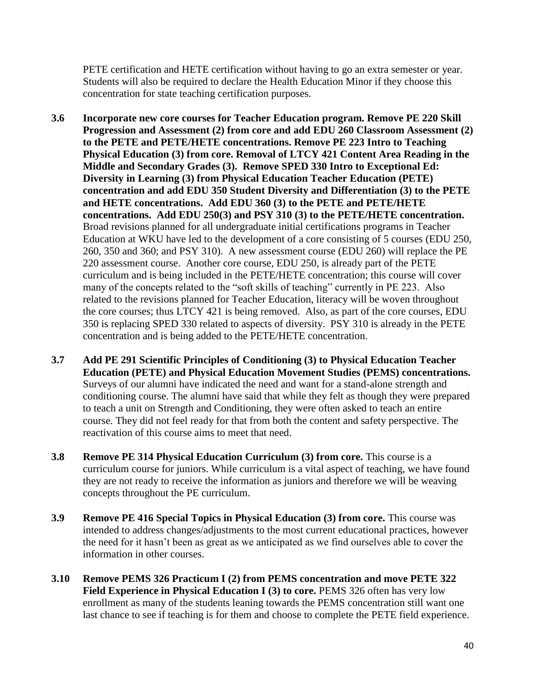PETE certification and HETE certification without having to go an extra semester or year. Students will also be required to declare the Health Education Minor if they choose this concentration for state teaching certification purposes.

- **3.6 Incorporate new core courses for Teacher Education program. Remove PE 220 Skill Progression and Assessment (2) from core and add EDU 260 Classroom Assessment (2) to the PETE and PETE/HETE concentrations. Remove PE 223 Intro to Teaching Physical Education (3) from core. Removal of LTCY 421 Content Area Reading in the Middle and Secondary Grades (3). Remove SPED 330 Intro to Exceptional Ed: Diversity in Learning (3) from Physical Education Teacher Education (PETE) concentration and add EDU 350 Student Diversity and Differentiation (3) to the PETE and HETE concentrations. Add EDU 360 (3) to the PETE and PETE/HETE concentrations. Add EDU 250(3) and PSY 310 (3) to the PETE/HETE concentration.**  Broad revisions planned for all undergraduate initial certifications programs in Teacher Education at WKU have led to the development of a core consisting of 5 courses (EDU 250, 260, 350 and 360; and PSY 310). A new assessment course (EDU 260) will replace the PE 220 assessment course. Another core course, EDU 250, is already part of the PETE curriculum and is being included in the PETE/HETE concentration; this course will cover many of the concepts related to the "soft skills of teaching" currently in PE 223. Also related to the revisions planned for Teacher Education, literacy will be woven throughout the core courses; thus LTCY 421 is being removed. Also, as part of the core courses, EDU 350 is replacing SPED 330 related to aspects of diversity. PSY 310 is already in the PETE concentration and is being added to the PETE/HETE concentration.
- **3.7 Add PE 291 Scientific Principles of Conditioning (3) to Physical Education Teacher Education (PETE) and Physical Education Movement Studies (PEMS) concentrations.**  Surveys of our alumni have indicated the need and want for a stand-alone strength and conditioning course. The alumni have said that while they felt as though they were prepared to teach a unit on Strength and Conditioning, they were often asked to teach an entire course. They did not feel ready for that from both the content and safety perspective. The reactivation of this course aims to meet that need.
- **3.8 Remove PE 314 Physical Education Curriculum (3) from core.** This course is a curriculum course for juniors. While curriculum is a vital aspect of teaching, we have found they are not ready to receive the information as juniors and therefore we will be weaving concepts throughout the PE curriculum.
- **3.9 Remove PE 416 Special Topics in Physical Education (3) from core.** This course was intended to address changes/adjustments to the most current educational practices, however the need for it hasn't been as great as we anticipated as we find ourselves able to cover the information in other courses.
- **3.10 Remove PEMS 326 Practicum I (2) from PEMS concentration and move PETE 322 Field Experience in Physical Education I (3) to core. PEMS 326 often has very low** enrollment as many of the students leaning towards the PEMS concentration still want one last chance to see if teaching is for them and choose to complete the PETE field experience.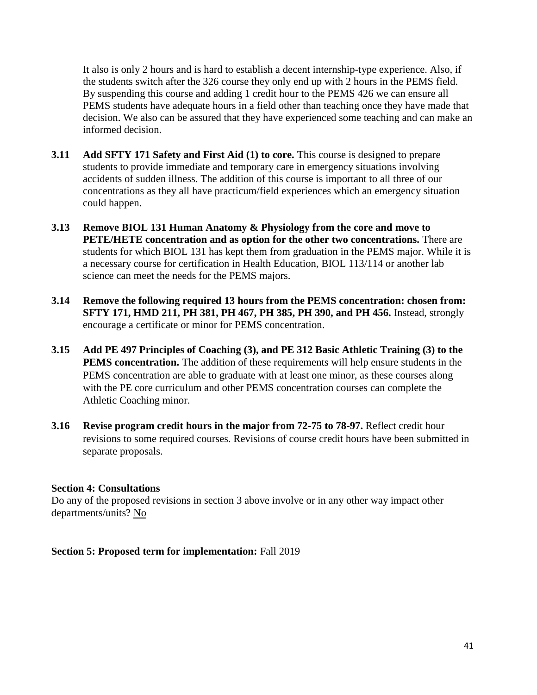It also is only 2 hours and is hard to establish a decent internship-type experience. Also, if the students switch after the 326 course they only end up with 2 hours in the PEMS field. By suspending this course and adding 1 credit hour to the PEMS 426 we can ensure all PEMS students have adequate hours in a field other than teaching once they have made that decision. We also can be assured that they have experienced some teaching and can make an informed decision.

- **3.11 Add SFTY 171 Safety and First Aid (1) to core.** This course is designed to prepare students to provide immediate and temporary care in emergency situations involving accidents of sudden illness. The addition of this course is important to all three of our concentrations as they all have practicum/field experiences which an emergency situation could happen.
- **3.13 Remove BIOL 131 Human Anatomy & Physiology from the core and move to PETE/HETE concentration and as option for the other two concentrations.** There are students for which BIOL 131 has kept them from graduation in the PEMS major. While it is a necessary course for certification in Health Education, BIOL 113/114 or another lab science can meet the needs for the PEMS majors.
- **3.14 Remove the following required 13 hours from the PEMS concentration: chosen from: SFTY 171, HMD 211, PH 381, PH 467, PH 385, PH 390, and PH 456.** Instead, strongly encourage a certificate or minor for PEMS concentration.
- **3.15 Add PE 497 Principles of Coaching (3), and PE 312 Basic Athletic Training (3) to the PEMS concentration.** The addition of these requirements will help ensure students in the PEMS concentration are able to graduate with at least one minor, as these courses along with the PE core curriculum and other PEMS concentration courses can complete the Athletic Coaching minor.
- **3.16 Revise program credit hours in the major from 72-75 to 78-97.** Reflect credit hour revisions to some required courses. Revisions of course credit hours have been submitted in separate proposals.

#### **Section 4: Consultations**

Do any of the proposed revisions in section 3 above involve or in any other way impact other departments/units? No

**Section 5: Proposed term for implementation:** Fall 2019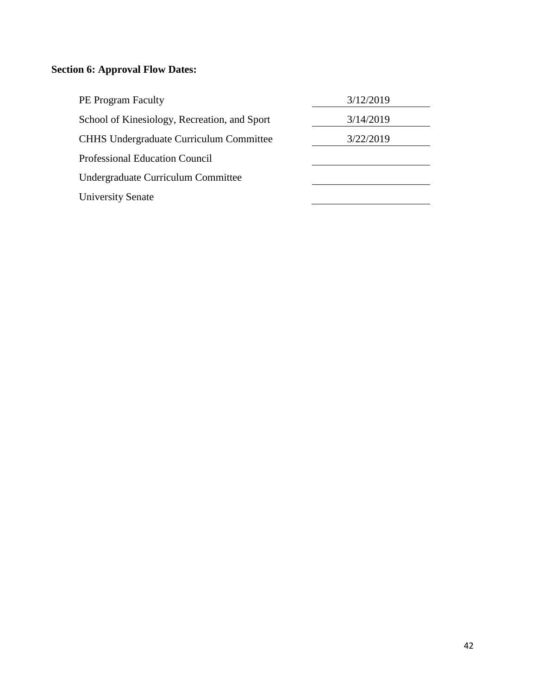# **Section 6: Approval Flow Dates:**

| <b>PE Program Faculty</b>                      | 3/12/2019 |
|------------------------------------------------|-----------|
| School of Kinesiology, Recreation, and Sport   | 3/14/2019 |
| <b>CHHS Undergraduate Curriculum Committee</b> | 3/22/2019 |
| <b>Professional Education Council</b>          |           |
| Undergraduate Curriculum Committee             |           |
| <b>University Senate</b>                       |           |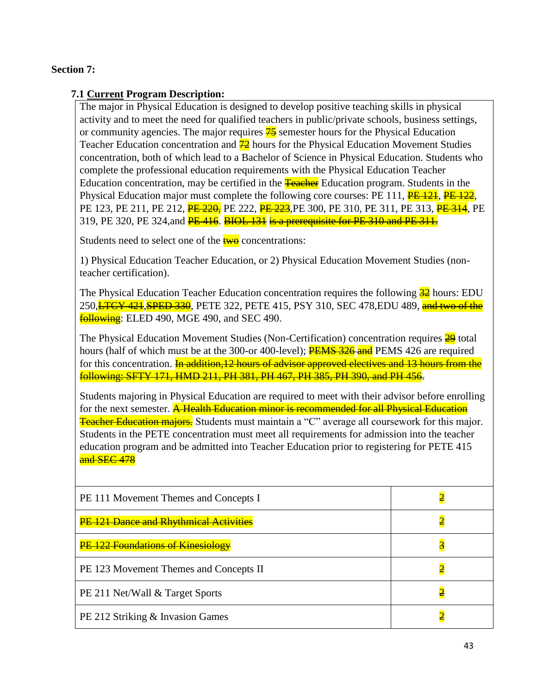### **Section 7:**

### **7.1 Current Program Description:**

The major in Physical Education is designed to develop positive teaching skills in physical activity and to meet the need for qualified teachers in public/private schools, business settings, or community agencies. The major requires  $\frac{45}{5}$  semester hours for the Physical Education Teacher Education concentration and  $\frac{72}{2}$  hours for the Physical Education Movement Studies concentration, both of which lead to a Bachelor of Science in Physical Education. Students who complete the professional education requirements with the Physical Education Teacher Education concentration, may be certified in the **Teacher** Education program. Students in the Physical Education major must complete the following core courses: PE 111, **PE 121**, **PE 122**, PE 123, PE 211, PE 212, PE 220, PE 222, PE 223, PE 300, PE 310, PE 311, PE 313, PE 314, PE 319, PE 320, PE 324, and **PE 416. BIOL 131 is a prerequisite for PE 310 and PE 311.** 

Students need to select one of the  $t_{w0}$  concentrations:

1) Physical Education Teacher Education, or 2) Physical Education Movement Studies (nonteacher certification).

The Physical Education Teacher Education concentration requires the following  $\frac{32}{22}$  hours: EDU 250, <del>LTCY 421, SPED 330</del>, PETE 322, PETE 415, PSY 310, SEC 478, EDU 489, and two of the **following**: ELED 490, MGE 490, and SEC 490.

The Physical Education Movement Studies (Non-Certification) concentration requires 29 total hours (half of which must be at the 300-or 400-level); **PEMS 326 and** PEMS 426 are required for this concentration. In addition, 12 hours of advisor approved electives and 13 hours from the following: SFTY 171, HMD 211, PH 381, PH 467, PH 385, PH 390, and PH 456.

Students majoring in Physical Education are required to meet with their advisor before enrolling for the next semester. **A Health Education minor is recommended for all Physical Education Teacher Education majors.** Students must maintain a "C" average all coursework for this major. Students in the PETE concentration must meet all requirements for admission into the teacher education program and be admitted into Teacher Education prior to registering for PETE 415 and SEC 478

| PE 111 Movement Themes and Concepts I    |   |
|------------------------------------------|---|
| PE 121 Dance and Rhythmical Activities   | 2 |
| <b>PE 122 Foundations of Kinesiology</b> | 3 |
| PE 123 Movement Themes and Concepts II   |   |
| PE 211 Net/Wall & Target Sports          |   |
| PE 212 Striking & Invasion Games         |   |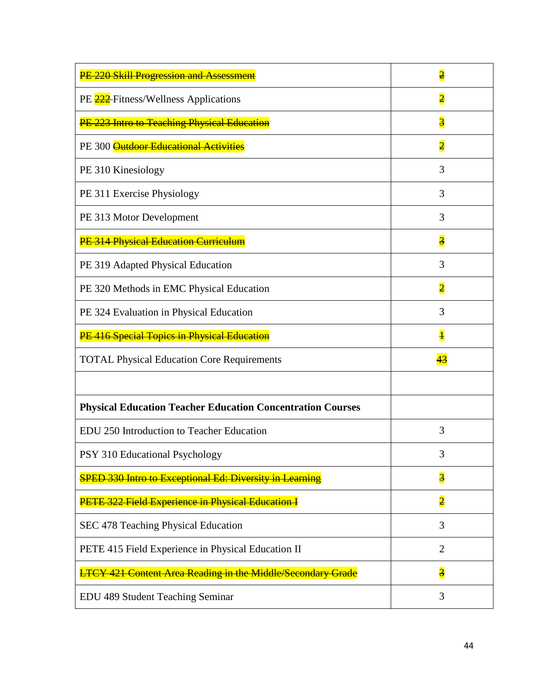| PE 220 Skill Progression and Assessment                            | $\overline{\mathbf{2}}$ |
|--------------------------------------------------------------------|-------------------------|
| PE 222 Fitness/Wellness Applications                               | $\overline{2}$          |
| PE 223 Intro to Teaching Physical Education                        | $\overline{\mathbf{3}}$ |
| PE 300 Outdoor Educational Activities                              | $\overline{2}$          |
| PE 310 Kinesiology                                                 | 3                       |
| PE 311 Exercise Physiology                                         | 3                       |
| PE 313 Motor Development                                           | 3                       |
| PE 314 Physical Education Curriculum                               | $\overline{\mathbf{3}}$ |
| PE 319 Adapted Physical Education                                  | 3                       |
| PE 320 Methods in EMC Physical Education                           | $\overline{2}$          |
| PE 324 Evaluation in Physical Education                            | 3                       |
| PE 416 Special Topics in Physical Education                        | $\overline{\mathbf{1}}$ |
| <b>TOTAL Physical Education Core Requirements</b>                  | 43                      |
|                                                                    |                         |
| <b>Physical Education Teacher Education Concentration Courses</b>  |                         |
| EDU 250 Introduction to Teacher Education                          | 3                       |
| PSY 310 Educational Psychology                                     | 3                       |
| <b>SPED 330 Intro to Exceptional Ed: Diversity in Learning</b>     | $\overline{\mathbf{3}}$ |
| PETE 322 Field Experience in Physical Education I                  | $\overline{2}$          |
| SEC 478 Teaching Physical Education                                | 3                       |
| PETE 415 Field Experience in Physical Education II                 | $\overline{2}$          |
| <b>LTCY 421 Content Area Reading in the Middle/Secondary Grade</b> | $\overline{\mathbf{3}}$ |
| EDU 489 Student Teaching Seminar                                   | 3                       |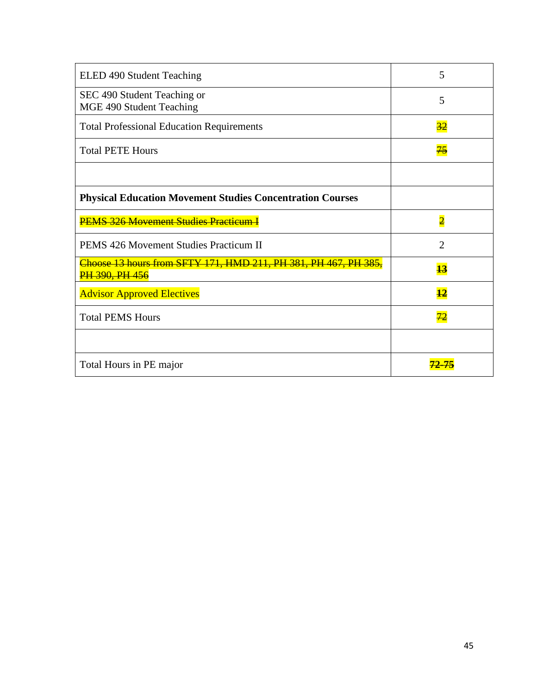| ELED 490 Student Teaching                                                                | 5               |
|------------------------------------------------------------------------------------------|-----------------|
| SEC 490 Student Teaching or<br>MGE 490 Student Teaching                                  | 5               |
| <b>Total Professional Education Requirements</b>                                         | $\overline{32}$ |
| <b>Total PETE Hours</b>                                                                  | 75              |
|                                                                                          |                 |
| <b>Physical Education Movement Studies Concentration Courses</b>                         |                 |
| <b>PEMS 326 Movement Studies Practicum I</b>                                             | $\overline{2}$  |
| <b>PEMS 426 Movement Studies Practicum II</b>                                            | 2               |
| Choose 13 hours from SFTY 171, HMD 211, PH 381, PH 467, PH 385,<br><b>PH 390, PH 456</b> | $\overline{13}$ |
| <b>Advisor Approved Electives</b>                                                        | $\overline{12}$ |
| <b>Total PEMS Hours</b>                                                                  |                 |
|                                                                                          |                 |
| Total Hours in PE major                                                                  |                 |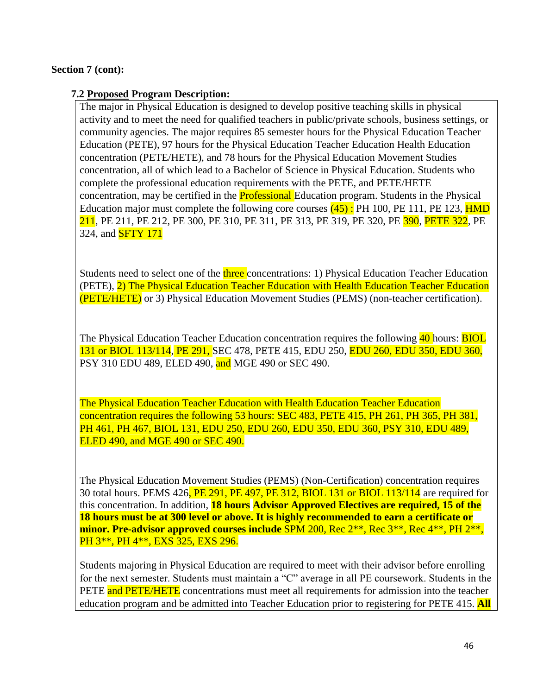#### **Section 7 (cont):**

#### **7.2 Proposed Program Description:**

The major in Physical Education is designed to develop positive teaching skills in physical activity and to meet the need for qualified teachers in public/private schools, business settings, or community agencies. The major requires 85 semester hours for the Physical Education Teacher Education (PETE), 97 hours for the Physical Education Teacher Education Health Education concentration (PETE/HETE), and 78 hours for the Physical Education Movement Studies concentration, all of which lead to a Bachelor of Science in Physical Education. Students who complete the professional education requirements with the PETE, and PETE/HETE concentration, may be certified in the **Professional** Education program. Students in the Physical Education major must complete the following core courses  $(45)$ : PH 100, PE 111, PE 123, HMD 211, PE 211, PE 212, PE 300, PE 310, PE 311, PE 313, PE 319, PE 320, PE 390, PETE 322, PE 324, and **SFTY 171** 

Students need to select one of the three concentrations: 1) Physical Education Teacher Education (PETE), 2) The Physical Education Teacher Education with Health Education Teacher Education (PETE/HETE) or 3) Physical Education Movement Studies (PEMS) (non-teacher certification).

The Physical Education Teacher Education concentration requires the following 40 hours: **BIOL** 131 or BIOL 113/114, PE 291, SEC 478, PETE 415, EDU 250, EDU 260, EDU 350, EDU 360, PSY 310 EDU 489, ELED 490, and MGE 490 or SEC 490.

The Physical Education Teacher Education with Health Education Teacher Education concentration requires the following 53 hours: SEC 483, PETE 415, PH 261, PH 365, PH 381, PH 461, PH 467, BIOL 131, EDU 250, EDU 260, EDU 350, EDU 360, PSY 310, EDU 489, ELED 490, and MGE 490 or SEC 490.

The Physical Education Movement Studies (PEMS) (Non-Certification) concentration requires 30 total hours. PEMS 426, PE 291, PE 497, PE 312, BIOL 131 or BIOL 113/114 are required for this concentration. In addition, **18 hours Advisor Approved Electives are required, 15 of the 18 hours must be at 300 level or above. It is highly recommended to earn a certificate or minor. Pre-advisor approved courses include** SPM 200, Rec 2\*\*, Rec 3\*\*, Rec 4\*\*, PH 2\*\*, PH 3\*\*, PH 4\*\*, EXS 325, EXS 296.

Students majoring in Physical Education are required to meet with their advisor before enrolling for the next semester. Students must maintain a "C" average in all PE coursework. Students in the PETE and PETE/HETE concentrations must meet all requirements for admission into the teacher education program and be admitted into Teacher Education prior to registering for PETE 415. **All**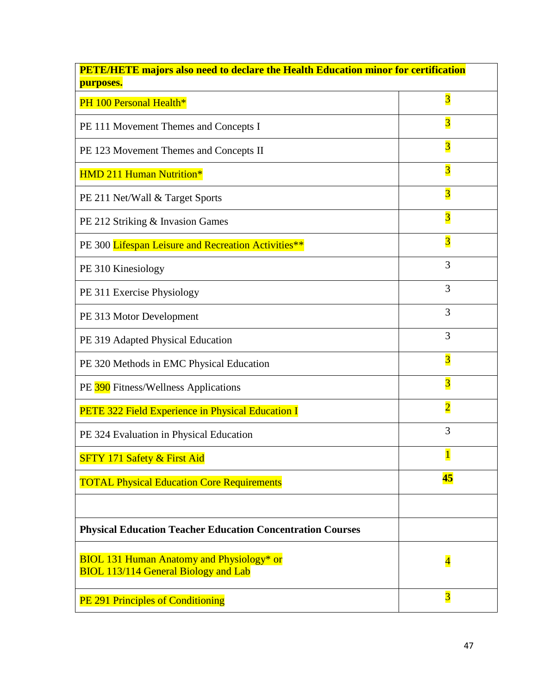| <b>PETE/HETE majors also need to declare the Health Education minor for certification</b><br>purposes. |                         |  |
|--------------------------------------------------------------------------------------------------------|-------------------------|--|
| PH 100 Personal Health*                                                                                | $\overline{\mathbf{3}}$ |  |
| PE 111 Movement Themes and Concepts I                                                                  | $\overline{\mathbf{3}}$ |  |
| PE 123 Movement Themes and Concepts II                                                                 | $\overline{\mathbf{3}}$ |  |
| <b>HMD 211 Human Nutrition*</b>                                                                        | $\overline{\mathbf{3}}$ |  |
| PE 211 Net/Wall & Target Sports                                                                        | $\overline{\mathbf{3}}$ |  |
| PE 212 Striking & Invasion Games                                                                       | $\overline{\mathbf{3}}$ |  |
| PE 300 Lifespan Leisure and Recreation Activities**                                                    | $\overline{\mathbf{3}}$ |  |
| PE 310 Kinesiology                                                                                     | 3                       |  |
| PE 311 Exercise Physiology                                                                             | 3                       |  |
| PE 313 Motor Development                                                                               | 3                       |  |
| PE 319 Adapted Physical Education                                                                      | 3                       |  |
| PE 320 Methods in EMC Physical Education                                                               | $\overline{\mathbf{3}}$ |  |
| PE 390 Fitness/Wellness Applications                                                                   | $\overline{\mathbf{3}}$ |  |
| PETE 322 Field Experience in Physical Education I                                                      | $\overline{2}$          |  |
| PE 324 Evaluation in Physical Education                                                                | 3                       |  |
| SFTY 171 Safety & First Aid                                                                            | $\mathbf{1}$            |  |
| <b>TOTAL Physical Education Core Requirements</b>                                                      | 45                      |  |
|                                                                                                        |                         |  |
| <b>Physical Education Teacher Education Concentration Courses</b>                                      |                         |  |
| <b>BIOL 131 Human Anatomy and Physiology* or</b><br><b>BIOL 113/114 General Biology and Lab</b>        | $\overline{\mathbf{4}}$ |  |
| PE 291 Principles of Conditioning                                                                      | $\overline{\mathbf{3}}$ |  |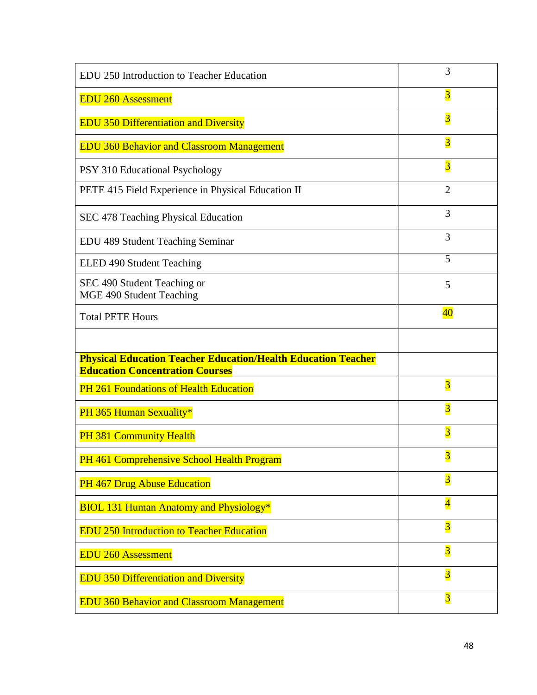| EDU 250 Introduction to Teacher Education                                                                      | 3                       |
|----------------------------------------------------------------------------------------------------------------|-------------------------|
| <b>EDU 260 Assessment</b>                                                                                      | $\overline{\mathbf{3}}$ |
| <b>EDU 350 Differentiation and Diversity</b>                                                                   | $\overline{\mathbf{3}}$ |
| <b>EDU 360 Behavior and Classroom Management</b>                                                               | $\overline{\mathbf{3}}$ |
| PSY 310 Educational Psychology                                                                                 | $\overline{3}$          |
| PETE 415 Field Experience in Physical Education II                                                             | $\overline{2}$          |
| SEC 478 Teaching Physical Education                                                                            | 3                       |
| EDU 489 Student Teaching Seminar                                                                               | 3                       |
| ELED 490 Student Teaching                                                                                      | 5                       |
| SEC 490 Student Teaching or<br>MGE 490 Student Teaching                                                        | 5                       |
| <b>Total PETE Hours</b>                                                                                        | $\overline{40}$         |
|                                                                                                                |                         |
|                                                                                                                |                         |
| <b>Physical Education Teacher Education/Health Education Teacher</b><br><b>Education Concentration Courses</b> |                         |
| PH 261 Foundations of Health Education                                                                         | $\overline{\mathbf{3}}$ |
| PH 365 Human Sexuality*                                                                                        | $\overline{\mathbf{3}}$ |
| PH 381 Community Health                                                                                        | $\overline{\mathbf{3}}$ |
| PH 461 Comprehensive School Health Program                                                                     |                         |
| PH 467 Drug Abuse Education                                                                                    | $\overline{\mathbf{3}}$ |
| <b>BIOL 131 Human Anatomy and Physiology*</b>                                                                  | $\overline{\mathbf{4}}$ |
| <b>EDU 250 Introduction to Teacher Education</b>                                                               | $\overline{\mathbf{3}}$ |
| <b>EDU 260 Assessment</b>                                                                                      | $\overline{3}$          |
| <b>EDU 350 Differentiation and Diversity</b>                                                                   | $\overline{\mathbf{3}}$ |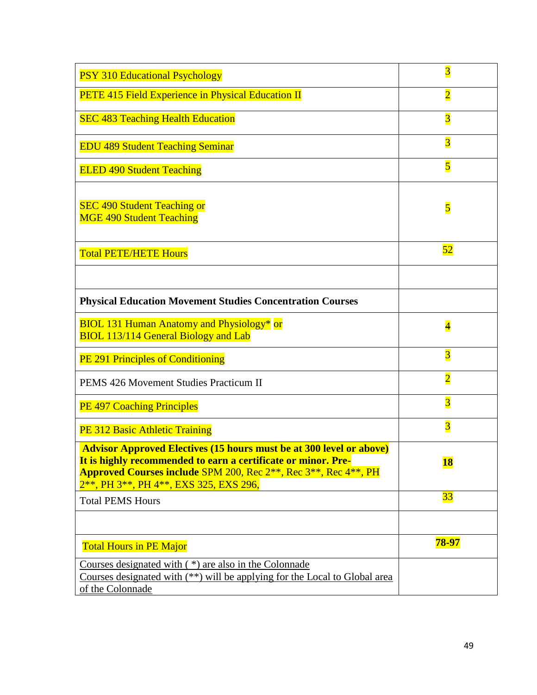| <b>PSY 310 Educational Psychology</b>                                                                                                                                                                                                                                                                  | $\overline{3}$          |
|--------------------------------------------------------------------------------------------------------------------------------------------------------------------------------------------------------------------------------------------------------------------------------------------------------|-------------------------|
| PETE 415 Field Experience in Physical Education II                                                                                                                                                                                                                                                     | $\overline{\mathbf{2}}$ |
| <b>SEC 483 Teaching Health Education</b>                                                                                                                                                                                                                                                               | $\overline{\mathbf{3}}$ |
| <b>EDU 489 Student Teaching Seminar</b>                                                                                                                                                                                                                                                                | $\overline{\mathbf{3}}$ |
| <b>ELED 490 Student Teaching</b>                                                                                                                                                                                                                                                                       | $\overline{\mathbf{5}}$ |
| <b>SEC 490 Student Teaching or</b><br><b>MGE 490 Student Teaching</b>                                                                                                                                                                                                                                  | 5                       |
| <b>Total PETE/HETE Hours</b>                                                                                                                                                                                                                                                                           | 52                      |
|                                                                                                                                                                                                                                                                                                        |                         |
| <b>Physical Education Movement Studies Concentration Courses</b>                                                                                                                                                                                                                                       |                         |
| <b>BIOL 131 Human Anatomy and Physiology*</b> or<br><b>BIOL 113/114 General Biology and Lab</b>                                                                                                                                                                                                        | $\overline{\mathbf{4}}$ |
| <b>PE 291 Principles of Conditioning</b>                                                                                                                                                                                                                                                               | $\overline{\mathbf{3}}$ |
| PEMS 426 Movement Studies Practicum II                                                                                                                                                                                                                                                                 | $\overline{2}$          |
| <b>PE 497 Coaching Principles</b>                                                                                                                                                                                                                                                                      | $\overline{\mathbf{3}}$ |
| PE 312 Basic Athletic Training                                                                                                                                                                                                                                                                         | $\overline{\mathbf{3}}$ |
| <b>Advisor Approved Electives (15 hours must be at 300 level or above)</b><br>It is highly recommended to earn a certificate or minor. Pre-<br><b>Approved Courses include SPM 200, Rec 2**, Rec 3**, Rec 4**, PH</b><br>2 <sup>**</sup> , PH 3 <sup>**</sup> , PH 4 <sup>**</sup> , EXS 325, EXS 296, | <b>18</b>               |
| <b>Total PEMS Hours</b>                                                                                                                                                                                                                                                                                | 33                      |
|                                                                                                                                                                                                                                                                                                        |                         |
| <b>Total Hours in PE Major</b>                                                                                                                                                                                                                                                                         | 78-97                   |
| Courses designated with $(*)$ are also in the Colonnade<br>Courses designated with (**) will be applying for the Local to Global area<br>of the Colonnade                                                                                                                                              |                         |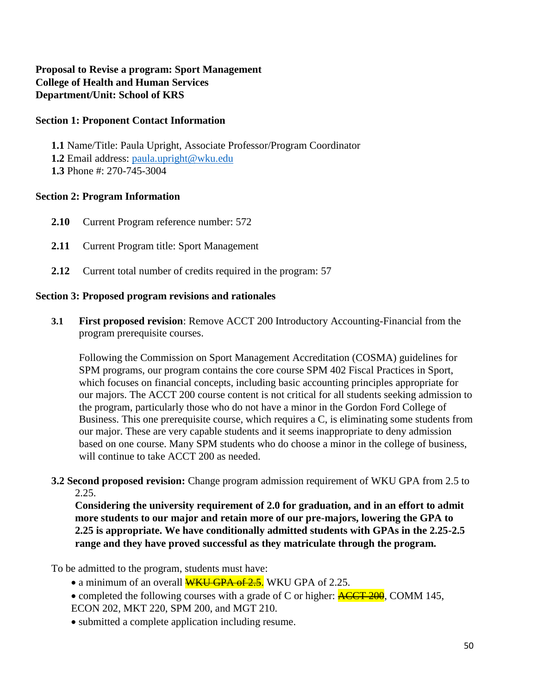### **Proposal to Revise a program: Sport Management College of Health and Human Services Department/Unit: School of KRS**

#### **Section 1: Proponent Contact Information**

**1.1** Name/Title: Paula Upright, Associate Professor/Program Coordinator **1.2** Email address: [paula.upright@wku.edu](mailto:paula.upright@wku.edu) **1.3** Phone #: 270-745-3004

#### **Section 2: Program Information**

- **2.10** Current Program reference number: 572
- **2.11** Current Program title: Sport Management
- **2.12** Current total number of credits required in the program: 57

#### **Section 3: Proposed program revisions and rationales**

**3.1 First proposed revision**: Remove ACCT 200 Introductory Accounting-Financial from the program prerequisite courses.

Following the Commission on Sport Management Accreditation (COSMA) guidelines for SPM programs, our program contains the core course SPM 402 Fiscal Practices in Sport, which focuses on financial concepts, including basic accounting principles appropriate for our majors. The ACCT 200 course content is not critical for all students seeking admission to the program, particularly those who do not have a minor in the Gordon Ford College of Business. This one prerequisite course, which requires a C, is eliminating some students from our major. These are very capable students and it seems inappropriate to deny admission based on one course. Many SPM students who do choose a minor in the college of business, will continue to take ACCT 200 as needed.

**3.2 Second proposed revision:** Change program admission requirement of WKU GPA from 2.5 to 2.25.

**Considering the university requirement of 2.0 for graduation, and in an effort to admit more students to our major and retain more of our pre-majors, lowering the GPA to 2.25 is appropriate. We have conditionally admitted students with GPAs in the 2.25-2.5 range and they have proved successful as they matriculate through the program.** 

#### To be admitted to the program, students must have:

- a minimum of an overall **WKU GPA of 2.5.** WKU GPA of 2.25.
- completed the following courses with a grade of C or higher:  $\overline{\text{ACCT 200}}$ , COMM 145, ECON 202, MKT 220, SPM 200, and MGT 210.
- submitted a complete application including resume.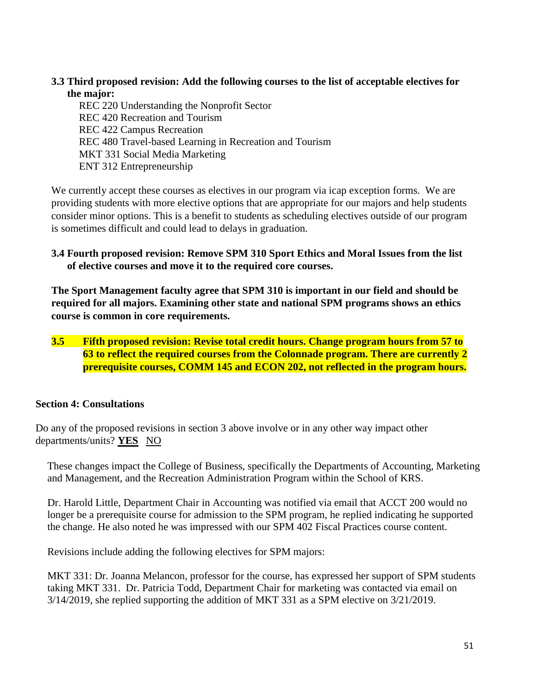#### **3.3 Third proposed revision: Add the following courses to the list of acceptable electives for the major:**

REC 220 Understanding the Nonprofit Sector REC 420 Recreation and Tourism REC 422 Campus Recreation REC 480 Travel-based Learning in Recreation and Tourism MKT 331 Social Media Marketing ENT 312 Entrepreneurship

We currently accept these courses as electives in our program via icap exception forms. We are providing students with more elective options that are appropriate for our majors and help students consider minor options. This is a benefit to students as scheduling electives outside of our program is sometimes difficult and could lead to delays in graduation.

#### **3.4 Fourth proposed revision: Remove SPM 310 Sport Ethics and Moral Issues from the list of elective courses and move it to the required core courses.**

**The Sport Management faculty agree that SPM 310 is important in our field and should be required for all majors. Examining other state and national SPM programs shows an ethics course is common in core requirements.** 

**3.5 Fifth proposed revision: Revise total credit hours. Change program hours from 57 to 63 to reflect the required courses from the Colonnade program. There are currently 2 prerequisite courses, COMM 145 and ECON 202, not reflected in the program hours.**

### **Section 4: Consultations**

Do any of the proposed revisions in section 3 above involve or in any other way impact other departments/units? **YES** NO

These changes impact the College of Business, specifically the Departments of Accounting, Marketing and Management, and the Recreation Administration Program within the School of KRS.

Dr. Harold Little, Department Chair in Accounting was notified via email that ACCT 200 would no longer be a prerequisite course for admission to the SPM program, he replied indicating he supported the change. He also noted he was impressed with our SPM 402 Fiscal Practices course content.

Revisions include adding the following electives for SPM majors:

MKT 331: Dr. Joanna Melancon, professor for the course, has expressed her support of SPM students taking MKT 331. Dr. Patricia Todd, Department Chair for marketing was contacted via email on 3/14/2019, she replied supporting the addition of MKT 331 as a SPM elective on 3/21/2019.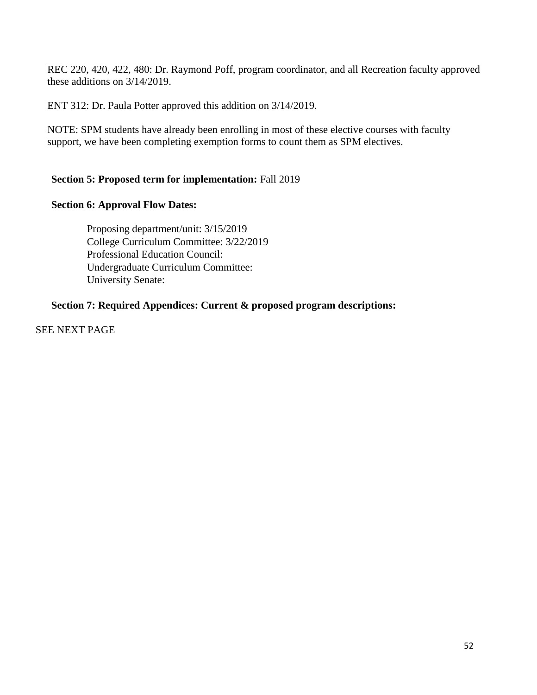REC 220, 420, 422, 480: Dr. Raymond Poff, program coordinator, and all Recreation faculty approved these additions on 3/14/2019.

ENT 312: Dr. Paula Potter approved this addition on 3/14/2019.

NOTE: SPM students have already been enrolling in most of these elective courses with faculty support, we have been completing exemption forms to count them as SPM electives.

#### **Section 5: Proposed term for implementation:** Fall 2019

#### **Section 6: Approval Flow Dates:**

Proposing department/unit: 3/15/2019 College Curriculum Committee: 3/22/2019 Professional Education Council: Undergraduate Curriculum Committee: University Senate:

#### **Section 7: Required Appendices: Current & proposed program descriptions:**

SEE NEXT PAGE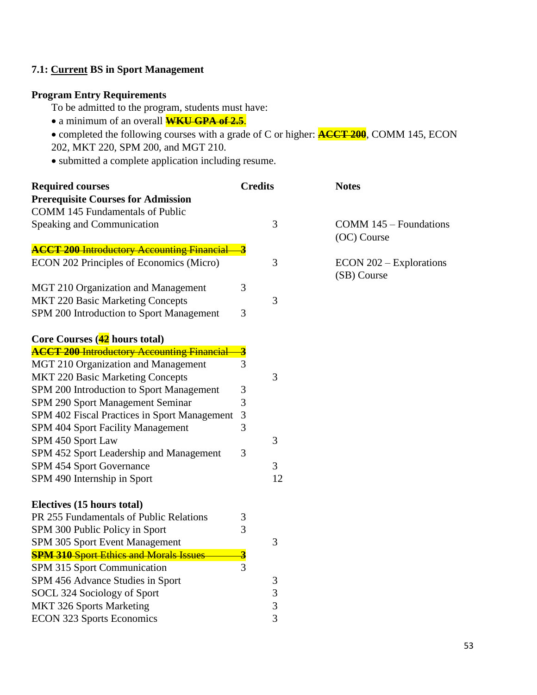### **7.1: Current BS in Sport Management**

### **Program Entry Requirements**

To be admitted to the program, students must have:

- a minimum of an overall **WKU GPA of 2.5**.
- completed the following courses with a grade of C or higher: **ACCT 200**, COMM 145, ECON 202, MKT 220, SPM 200, and MGT 210.
- submitted a complete application including resume.

| <b>Required courses</b>                           | <b>Credits</b>          |                | <b>Notes</b>                           |
|---------------------------------------------------|-------------------------|----------------|----------------------------------------|
| <b>Prerequisite Courses for Admission</b>         |                         |                |                                        |
| <b>COMM 145 Fundamentals of Public</b>            |                         |                |                                        |
| Speaking and Communication                        |                         | 3              | COMM 145 – Foundations                 |
|                                                   |                         |                | (OC) Course                            |
| <b>ACCT 200 Introductory Accounting Financial</b> | $\overline{\mathbf{3}}$ |                |                                        |
| ECON 202 Principles of Economics (Micro)          |                         | 3              | ECON 202 – Explorations<br>(SB) Course |
| MGT 210 Organization and Management               | 3                       |                |                                        |
| <b>MKT 220 Basic Marketing Concepts</b>           |                         | 3              |                                        |
| SPM 200 Introduction to Sport Management          | 3                       |                |                                        |
| Core Courses (42 hours total)                     |                         |                |                                        |
| <b>ACCT 200 Introductory Accounting Financial</b> | $\overline{\mathbf{3}}$ |                |                                        |
| MGT 210 Organization and Management               | 3                       |                |                                        |
| <b>MKT 220 Basic Marketing Concepts</b>           |                         | 3              |                                        |
| SPM 200 Introduction to Sport Management          | 3                       |                |                                        |
| SPM 290 Sport Management Seminar                  | 3                       |                |                                        |
| SPM 402 Fiscal Practices in Sport Management      | $\mathfrak{Z}$          |                |                                        |
| SPM 404 Sport Facility Management                 | 3                       |                |                                        |
| SPM 450 Sport Law                                 |                         | 3              |                                        |
| SPM 452 Sport Leadership and Management           | 3                       |                |                                        |
| SPM 454 Sport Governance                          |                         | 3              |                                        |
| SPM 490 Internship in Sport                       |                         | 12             |                                        |
| Electives (15 hours total)                        |                         |                |                                        |
| PR 255 Fundamentals of Public Relations           | 3                       |                |                                        |
| SPM 300 Public Policy in Sport                    | 3                       |                |                                        |
| SPM 305 Sport Event Management                    |                         | 3              |                                        |
| <b>SPM 310 Sport Ethics and Morals Issues</b>     | $\overline{\mathbf{3}}$ |                |                                        |
| SPM 315 Sport Communication                       | 3                       |                |                                        |
| SPM 456 Advance Studies in Sport                  |                         | $\mathfrak{Z}$ |                                        |
| SOCL 324 Sociology of Sport                       |                         | 3              |                                        |
| <b>MKT 326 Sports Marketing</b>                   |                         | 3              |                                        |
| <b>ECON 323 Sports Economics</b>                  |                         | 3              |                                        |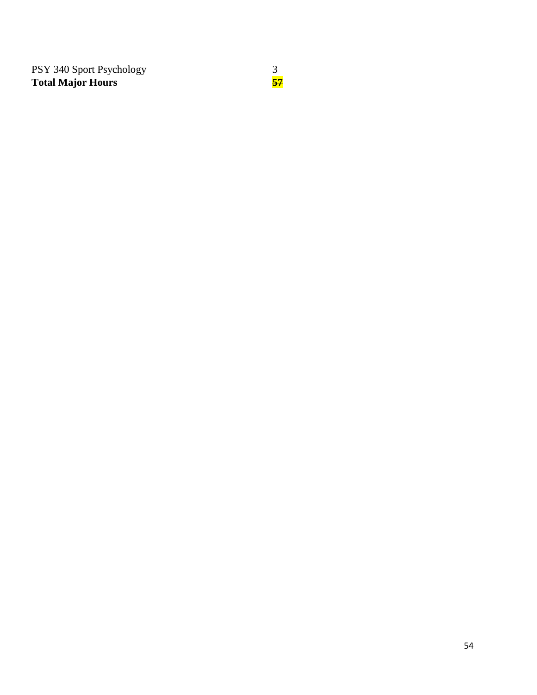PSY 340 Sport Psychology 3 **Total Major Hours 57**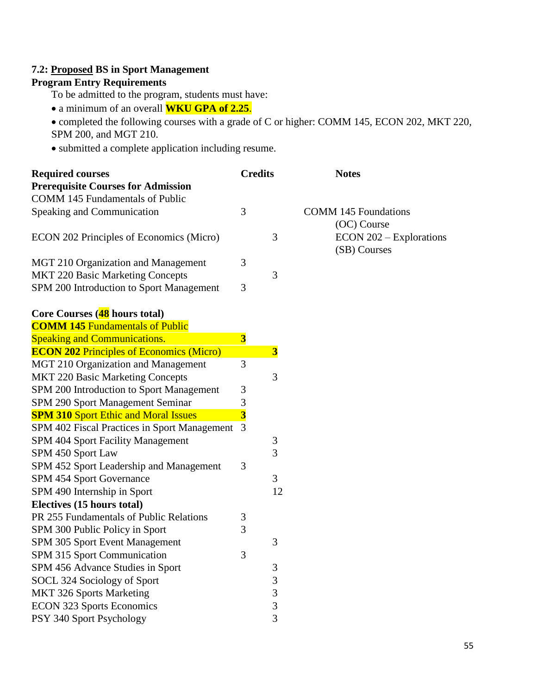### **7.2: Proposed BS in Sport Management**

### **Program Entry Requirements**

To be admitted to the program, students must have:

a minimum of an overall **WKU GPA of 2.25**.

 completed the following courses with a grade of C or higher: COMM 145, ECON 202, MKT 220, SPM 200, and MGT 210.

submitted a complete application including resume.

| <b>Required courses</b>                         | <b>Credits</b>          |                         | <b>Notes</b>                |
|-------------------------------------------------|-------------------------|-------------------------|-----------------------------|
| <b>Prerequisite Courses for Admission</b>       |                         |                         |                             |
| COMM 145 Fundamentals of Public                 |                         |                         |                             |
| Speaking and Communication                      | 3                       |                         | <b>COMM 145 Foundations</b> |
|                                                 |                         |                         | (OC) Course                 |
| ECON 202 Principles of Economics (Micro)        |                         | 3                       | $ECON 202 - Explorations$   |
|                                                 |                         |                         | (SB) Courses                |
| MGT 210 Organization and Management             | 3                       |                         |                             |
| <b>MKT 220 Basic Marketing Concepts</b>         |                         | 3                       |                             |
| SPM 200 Introduction to Sport Management        | 3                       |                         |                             |
| Core Courses (48 hours total)                   |                         |                         |                             |
| <b>COMM 145 Fundamentals of Public</b>          |                         |                         |                             |
| <b>Speaking and Communications.</b>             | $\overline{\mathbf{3}}$ |                         |                             |
| <b>ECON 202 Principles of Economics (Micro)</b> |                         | $\overline{\mathbf{3}}$ |                             |
| MGT 210 Organization and Management             | 3                       |                         |                             |
| <b>MKT 220 Basic Marketing Concepts</b>         |                         | 3                       |                             |
| SPM 200 Introduction to Sport Management        | 3                       |                         |                             |
| SPM 290 Sport Management Seminar                | $\mathfrak{Z}$          |                         |                             |
| <b>SPM 310 Sport Ethic and Moral Issues</b>     | $\overline{\mathbf{3}}$ |                         |                             |
| SPM 402 Fiscal Practices in Sport Management    | 3                       |                         |                             |
| SPM 404 Sport Facility Management               |                         | 3                       |                             |
| SPM 450 Sport Law                               |                         | 3                       |                             |
| SPM 452 Sport Leadership and Management         | 3                       |                         |                             |
| SPM 454 Sport Governance                        |                         | 3                       |                             |
| SPM 490 Internship in Sport                     |                         | 12                      |                             |
| Electives (15 hours total)                      |                         |                         |                             |
| PR 255 Fundamentals of Public Relations         | 3                       |                         |                             |
| SPM 300 Public Policy in Sport                  | 3                       |                         |                             |
| SPM 305 Sport Event Management                  |                         | 3                       |                             |
| SPM 315 Sport Communication                     | 3                       |                         |                             |
| SPM 456 Advance Studies in Sport                |                         | 3                       |                             |
| SOCL 324 Sociology of Sport                     |                         | $\mathfrak{Z}$          |                             |
| <b>MKT 326 Sports Marketing</b>                 |                         | 3                       |                             |
| <b>ECON 323 Sports Economics</b>                |                         | 3                       |                             |
| PSY 340 Sport Psychology                        |                         | $\overline{3}$          |                             |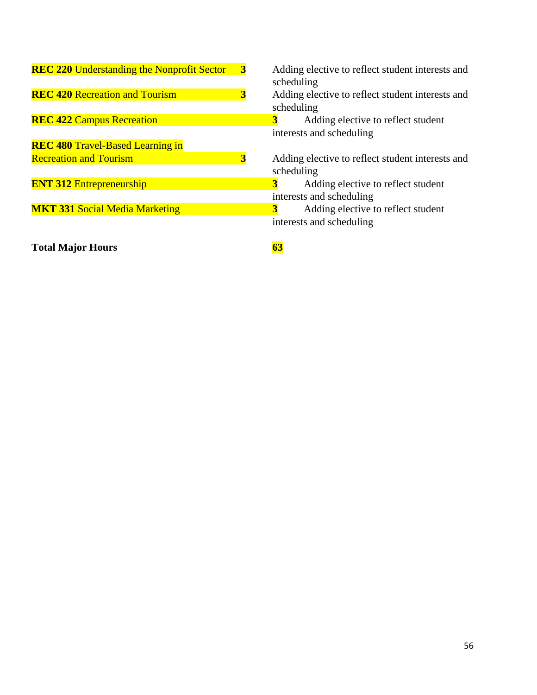| <b>REC 220 Understanding the Nonprofit Sector</b> | $\overline{\mathbf{3}}$ | Adding elective to reflect student interests and<br>scheduling |
|---------------------------------------------------|-------------------------|----------------------------------------------------------------|
| <b>REC 420 Recreation and Tourism</b>             | $\overline{\mathbf{3}}$ | Adding elective to reflect student interests and               |
|                                                   |                         | scheduling                                                     |
| <b>REC 422 Campus Recreation</b>                  |                         | $\overline{\mathbf{3}}$<br>Adding elective to reflect student  |
|                                                   |                         | interests and scheduling                                       |
| <b>REC 480 Travel-Based Learning in</b>           |                         |                                                                |
| <b>Recreation and Tourism</b>                     | $\overline{\mathbf{3}}$ | Adding elective to reflect student interests and               |
|                                                   |                         | scheduling                                                     |
| <b>ENT 312 Entrepreneurship</b>                   |                         | Adding elective to reflect student                             |
|                                                   |                         | interests and scheduling                                       |
| <b>MKT 331 Social Media Marketing</b>             |                         | 3<br>Adding elective to reflect student                        |
|                                                   |                         | interests and scheduling                                       |
| <b>Total Major Hours</b>                          |                         | 63                                                             |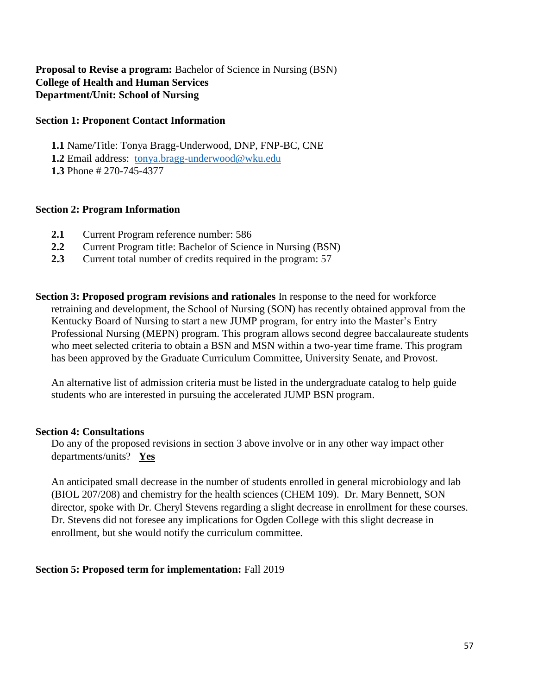#### **Proposal to Revise a program:** Bachelor of Science in Nursing (BSN) **College of Health and Human Services Department/Unit: School of Nursing**

#### **Section 1: Proponent Contact Information**

**1.1** Name/Title: Tonya Bragg-Underwood, DNP, FNP-BC, CNE

**1.2** Email address: [tonya.bragg-underwood@wku.edu](file:///C:/Users/Tonya/AppData/Local/Temp/tonya.bragg-underwood@wku.edu)

**1.3** Phone # 270-745-4377

### **Section 2: Program Information**

- **2.1** Current Program reference number: 586
- **2.2** Current Program title: Bachelor of Science in Nursing (BSN)
- **2.3** Current total number of credits required in the program: 57

**Section 3: Proposed program revisions and rationales** In response to the need for workforce retraining and development, the School of Nursing (SON) has recently obtained approval from the Kentucky Board of Nursing to start a new JUMP program, for entry into the Master's Entry Professional Nursing (MEPN) program. This program allows second degree baccalaureate students who meet selected criteria to obtain a BSN and MSN within a two-year time frame. This program has been approved by the Graduate Curriculum Committee, University Senate, and Provost.

An alternative list of admission criteria must be listed in the undergraduate catalog to help guide students who are interested in pursuing the accelerated JUMP BSN program.

### **Section 4: Consultations**

Do any of the proposed revisions in section 3 above involve or in any other way impact other departments/units? **Yes**

An anticipated small decrease in the number of students enrolled in general microbiology and lab (BIOL 207/208) and chemistry for the health sciences (CHEM 109). Dr. Mary Bennett, SON director, spoke with Dr. Cheryl Stevens regarding a slight decrease in enrollment for these courses. Dr. Stevens did not foresee any implications for Ogden College with this slight decrease in enrollment, but she would notify the curriculum committee.

### **Section 5: Proposed term for implementation:** Fall 2019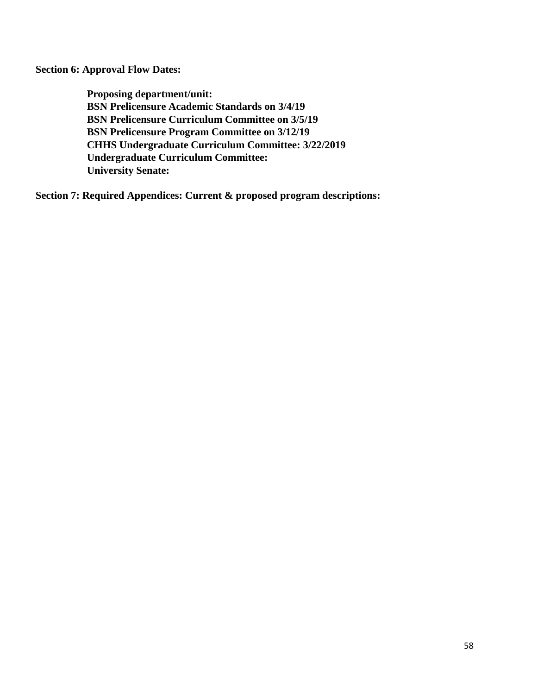**Section 6: Approval Flow Dates:** 

**Proposing department/unit: BSN Prelicensure Academic Standards on 3/4/19 BSN Prelicensure Curriculum Committee on 3/5/19 BSN Prelicensure Program Committee on 3/12/19 CHHS Undergraduate Curriculum Committee: 3/22/2019 Undergraduate Curriculum Committee: University Senate:**

**Section 7: Required Appendices: Current & proposed program descriptions:**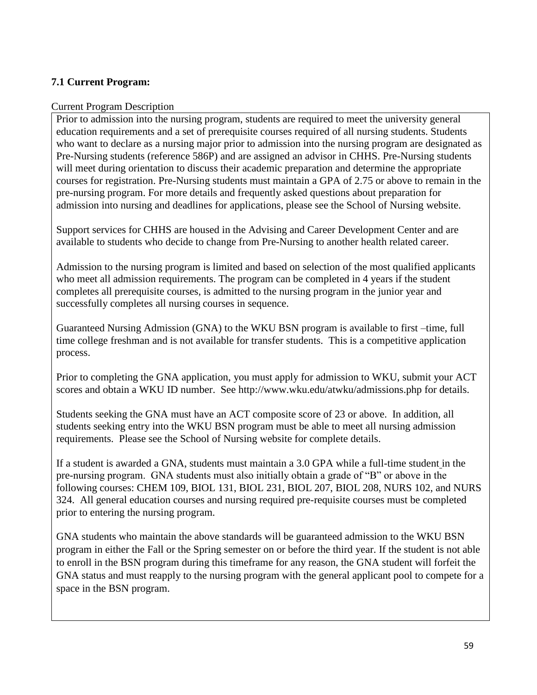### **7.1 Current Program:**

#### Current Program Description

Prior to admission into the nursing program, students are required to meet the university general education requirements and a set of prerequisite courses required of all nursing students. Students who want to declare as a nursing major prior to admission into the nursing program are designated as Pre-Nursing students (reference 586P) and are assigned an advisor in CHHS. Pre-Nursing students will meet during orientation to discuss their academic preparation and determine the appropriate courses for registration. Pre-Nursing students must maintain a GPA of 2.75 or above to remain in the pre-nursing program. For more details and frequently asked questions about preparation for admission into nursing and deadlines for applications, please see the School of Nursing website.

Support services for CHHS are housed in the Advising and Career Development Center and are available to students who decide to change from Pre-Nursing to another health related career.

Admission to the nursing program is limited and based on selection of the most qualified applicants who meet all admission requirements. The program can be completed in 4 years if the student completes all prerequisite courses, is admitted to the nursing program in the junior year and successfully completes all nursing courses in sequence.

Guaranteed Nursing Admission (GNA) to the WKU BSN program is available to first –time, full time college freshman and is not available for transfer students. This is a competitive application process.

Prior to completing the GNA application, you must apply for admission to WKU, submit your ACT scores and obtain a WKU ID number. See http://www.wku.edu/atwku/admissions.php for details.

Students seeking the GNA must have an ACT composite score of 23 or above. In addition, all students seeking entry into the WKU BSN program must be able to meet all nursing admission requirements. Please see the School of Nursing website for complete details.

If a student is awarded a GNA, students must maintain a 3.0 GPA while a full-time student in the pre-nursing program. GNA students must also initially obtain a grade of "B" or above in the following courses: CHEM 109, BIOL 131, BIOL 231, BIOL 207, BIOL 208, NURS 102, and NURS 324. All general education courses and nursing required pre-requisite courses must be completed prior to entering the nursing program.

GNA students who maintain the above standards will be guaranteed admission to the WKU BSN program in either the Fall or the Spring semester on or before the third year. If the student is not able to enroll in the BSN program during this timeframe for any reason, the GNA student will forfeit the GNA status and must reapply to the nursing program with the general applicant pool to compete for a space in the BSN program.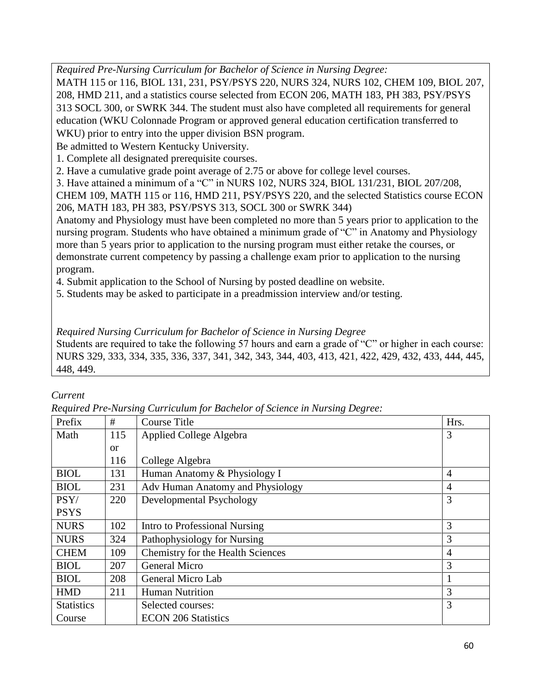*Required Pre-Nursing Curriculum for Bachelor of Science in Nursing Degree:*

MATH 115 or 116, BIOL 131, 231, PSY/PSYS 220, NURS 324, NURS 102, CHEM 109, BIOL 207, 208, HMD 211, and a statistics course selected from ECON 206, MATH 183, PH 383, PSY/PSYS 313 SOCL 300, or SWRK 344. The student must also have completed all requirements for general education (WKU Colonnade Program or approved general education certification transferred to WKU) prior to entry into the upper division BSN program.

Be admitted to Western Kentucky University.

1. Complete all designated prerequisite courses.

2. Have a cumulative grade point average of 2.75 or above for college level courses.

3. Have attained a minimum of a "C" in NURS 102, NURS 324, BIOL 131/231, BIOL 207/208,

CHEM 109, MATH 115 or 116, HMD 211, PSY/PSYS 220, and the selected Statistics course ECON 206, MATH 183, PH 383, PSY/PSYS 313, SOCL 300 or SWRK 344)

Anatomy and Physiology must have been completed no more than 5 years prior to application to the nursing program. Students who have obtained a minimum grade of "C" in Anatomy and Physiology more than 5 years prior to application to the nursing program must either retake the courses, or demonstrate current competency by passing a challenge exam prior to application to the nursing program.

4. Submit application to the School of Nursing by posted deadline on website.

5. Students may be asked to participate in a preadmission interview and/or testing.

*Required Nursing Curriculum for Bachelor of Science in Nursing Degree* 

Students are required to take the following 57 hours and earn a grade of "C" or higher in each course: NURS 329, 333, 334, 335, 336, 337, 341, 342, 343, 344, 403, 413, 421, 422, 429, 432, 433, 444, 445, 448, 449.

### *Current*

*Required Pre-Nursing Curriculum for Bachelor of Science in Nursing Degree:*

| Prefix            | #             | Course Title                      | Hrs.           |
|-------------------|---------------|-----------------------------------|----------------|
| Math              | 115           | Applied College Algebra           | 3              |
|                   | <sub>or</sub> |                                   |                |
|                   | 116           | College Algebra                   |                |
| <b>BIOL</b>       | 131           | Human Anatomy & Physiology I      | $\overline{4}$ |
| <b>BIOL</b>       | 231           | Adv Human Anatomy and Physiology  | $\overline{4}$ |
| PSY/              | 220           | Developmental Psychology          | 3              |
| <b>PSYS</b>       |               |                                   |                |
| <b>NURS</b>       | 102           | Intro to Professional Nursing     | 3              |
| <b>NURS</b>       | 324           | Pathophysiology for Nursing       | 3              |
| <b>CHEM</b>       | 109           | Chemistry for the Health Sciences | $\overline{4}$ |
| <b>BIOL</b>       | 207           | General Micro                     | 3              |
| <b>BIOL</b>       | 208           | General Micro Lab                 |                |
| <b>HMD</b>        | 211           | <b>Human Nutrition</b>            | 3              |
| <b>Statistics</b> |               | Selected courses:                 | 3              |
| Course            |               | <b>ECON 206 Statistics</b>        |                |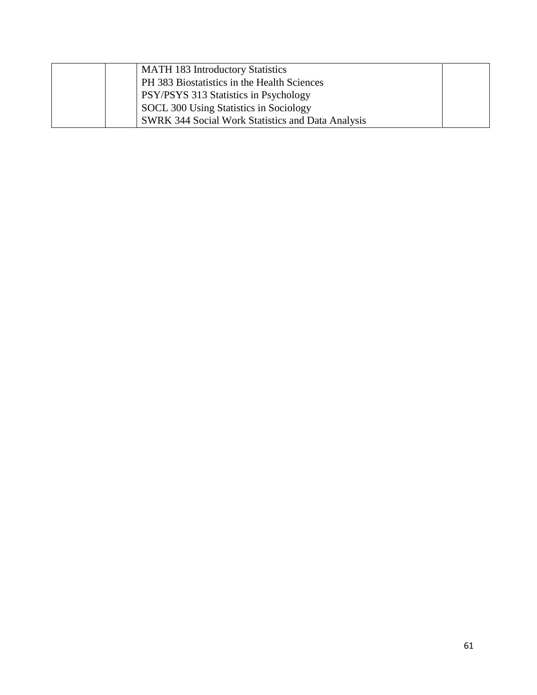| <b>MATH 183 Introductory Statistics</b>                  |  |
|----------------------------------------------------------|--|
| PH 383 Biostatistics in the Health Sciences              |  |
| PSY/PSYS 313 Statistics in Psychology                    |  |
| SOCL 300 Using Statistics in Sociology                   |  |
| <b>SWRK 344 Social Work Statistics and Data Analysis</b> |  |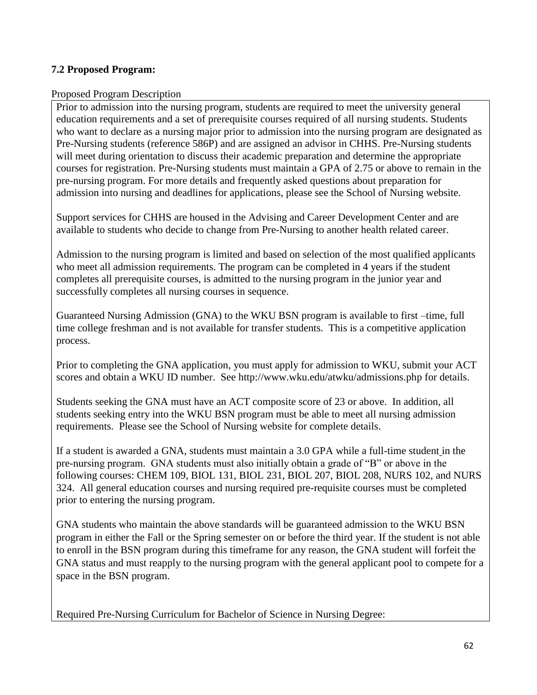### **7.2 Proposed Program:**

#### Proposed Program Description

Prior to admission into the nursing program, students are required to meet the university general education requirements and a set of prerequisite courses required of all nursing students. Students who want to declare as a nursing major prior to admission into the nursing program are designated as Pre-Nursing students (reference 586P) and are assigned an advisor in CHHS. Pre-Nursing students will meet during orientation to discuss their academic preparation and determine the appropriate courses for registration. Pre-Nursing students must maintain a GPA of 2.75 or above to remain in the pre-nursing program. For more details and frequently asked questions about preparation for admission into nursing and deadlines for applications, please see the School of Nursing website.

Support services for CHHS are housed in the Advising and Career Development Center and are available to students who decide to change from Pre-Nursing to another health related career.

Admission to the nursing program is limited and based on selection of the most qualified applicants who meet all admission requirements. The program can be completed in 4 years if the student completes all prerequisite courses, is admitted to the nursing program in the junior year and successfully completes all nursing courses in sequence.

Guaranteed Nursing Admission (GNA) to the WKU BSN program is available to first –time, full time college freshman and is not available for transfer students. This is a competitive application process.

Prior to completing the GNA application, you must apply for admission to WKU, submit your ACT scores and obtain a WKU ID number. See http://www.wku.edu/atwku/admissions.php for details.

Students seeking the GNA must have an ACT composite score of 23 or above. In addition, all students seeking entry into the WKU BSN program must be able to meet all nursing admission requirements. Please see the School of Nursing website for complete details.

If a student is awarded a GNA, students must maintain a 3.0 GPA while a full-time student in the pre-nursing program. GNA students must also initially obtain a grade of "B" or above in the following courses: CHEM 109, BIOL 131, BIOL 231, BIOL 207, BIOL 208, NURS 102, and NURS 324. All general education courses and nursing required pre-requisite courses must be completed prior to entering the nursing program.

GNA students who maintain the above standards will be guaranteed admission to the WKU BSN program in either the Fall or the Spring semester on or before the third year. If the student is not able to enroll in the BSN program during this timeframe for any reason, the GNA student will forfeit the GNA status and must reapply to the nursing program with the general applicant pool to compete for a space in the BSN program.

Required Pre-Nursing Curriculum for Bachelor of Science in Nursing Degree: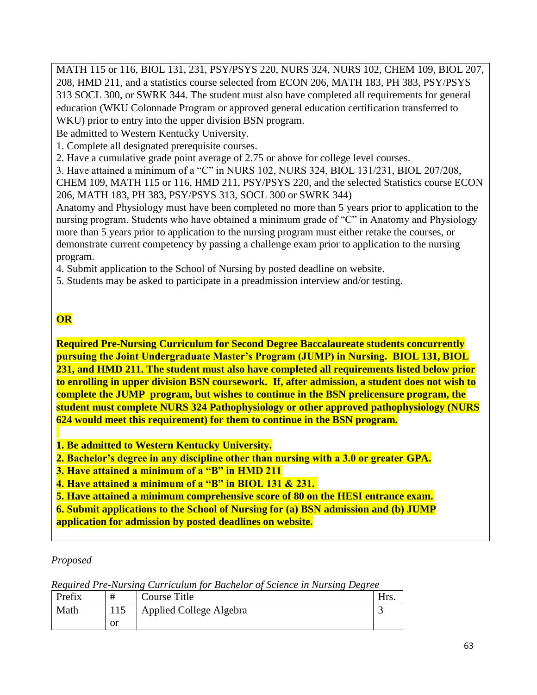MATH 115 or 116, BIOL 131, 231, PSY/PSYS 220, NURS 324, NURS 102, CHEM 109, BIOL 207, 208, HMD 211, and a statistics course selected from ECON 206, MATH 183, PH 383, PSY/PSYS 313 SOCL 300, or SWRK 344. The student must also have completed all requirements for general education (WKU Colonnade Program or approved general education certification transferred to WKU) prior to entry into the upper division BSN program.

Be admitted to Western Kentucky University.

1. Complete all designated prerequisite courses.

2. Have a cumulative grade point average of 2.75 or above for college level courses.

3. Have attained a minimum of a "C" in NURS 102, NURS 324, BIOL 131/231, BIOL 207/208,

CHEM 109, MATH 115 or 116, HMD 211, PSY/PSYS 220, and the selected Statistics course ECON 206, MATH 183, PH 383, PSY/PSYS 313, SOCL 300 or SWRK 344)

Anatomy and Physiology must have been completed no more than 5 years prior to application to the nursing program. Students who have obtained a minimum grade of "C" in Anatomy and Physiology more than 5 years prior to application to the nursing program must either retake the courses, or demonstrate current competency by passing a challenge exam prior to application to the nursing program.

4. Submit application to the School of Nursing by posted deadline on website.

5. Students may be asked to participate in a preadmission interview and/or testing.

## **OR**

**Required Pre-Nursing Curriculum for Second Degree Baccalaureate students concurrently pursuing the Joint Undergraduate Master's Program (JUMP) in Nursing. BIOL 131, BIOL 231, and HMD 211. The student must also have completed all requirements listed below prior to enrolling in upper division BSN coursework. If, after admission, a student does not wish to complete the JUMP program, but wishes to continue in the BSN prelicensure program, the student must complete NURS 324 Pathophysiology or other approved pathophysiology (NURS 624 would meet this requirement) for them to continue in the BSN program.**

**1. Be admitted to Western Kentucky University.** 

**2. Bachelor's degree in any discipline other than nursing with a 3.0 or greater GPA.** 

**3. Have attained a minimum of a "B" in HMD 211**

**4. Have attained a minimum of a "B" in BIOL 131 & 231.**

**5. Have attained a minimum comprehensive score of 80 on the HESI entrance exam.**

**6. Submit applications to the School of Nursing for (a) BSN admission and (b) JUMP** 

**application for admission by posted deadlines on website.** 

### *Proposed*

| Prefix | #  | Course Title            |  |
|--------|----|-------------------------|--|
| Math   |    | Applied College Algebra |  |
|        | or |                         |  |

*Required Pre-Nursing Curriculum for Bachelor of Science in Nursing Degree*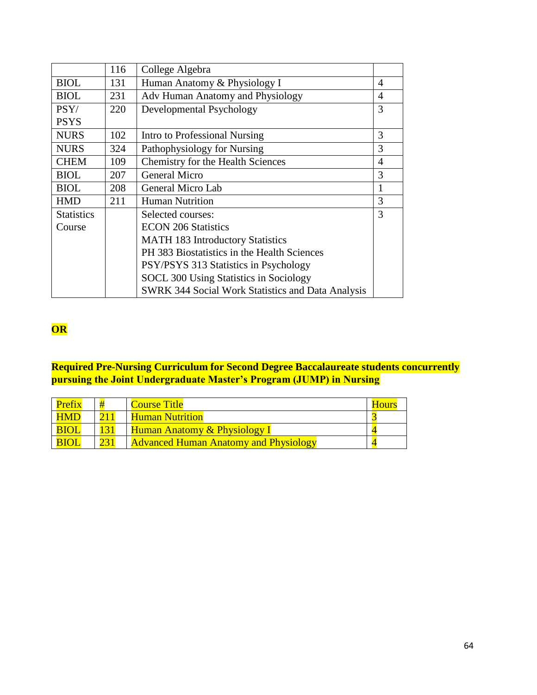|                   | 116 | College Algebra                                          |                |
|-------------------|-----|----------------------------------------------------------|----------------|
| <b>BIOL</b>       | 131 | Human Anatomy & Physiology I                             | 4              |
| <b>BIOL</b>       | 231 | Adv Human Anatomy and Physiology                         | 4              |
| PSY/              | 220 | Developmental Psychology                                 | 3              |
| <b>PSYS</b>       |     |                                                          |                |
| <b>NURS</b>       | 102 | Intro to Professional Nursing                            | 3              |
| <b>NURS</b>       | 324 | Pathophysiology for Nursing                              | 3              |
| <b>CHEM</b>       | 109 | Chemistry for the Health Sciences                        | $\overline{4}$ |
| <b>BIOL</b>       | 207 | <b>General Micro</b>                                     | 3              |
| <b>BIOL</b>       | 208 | General Micro Lab                                        | 1              |
| <b>HMD</b>        | 211 | <b>Human Nutrition</b>                                   | 3              |
| <b>Statistics</b> |     | Selected courses:                                        | 3              |
| Course            |     | <b>ECON 206 Statistics</b>                               |                |
|                   |     | <b>MATH 183 Introductory Statistics</b>                  |                |
|                   |     | PH 383 Biostatistics in the Health Sciences              |                |
|                   |     | PSY/PSYS 313 Statistics in Psychology                    |                |
|                   |     | <b>SOCL 300 Using Statistics in Sociology</b>            |                |
|                   |     | <b>SWRK 344 Social Work Statistics and Data Analysis</b> |                |

# **OR**

### **Required Pre-Nursing Curriculum for Second Degree Baccalaureate students concurrently pursuing the Joint Undergraduate Master's Program (JUMP) in Nursing**

| Prefix      | # | <b>Course Title</b>                          | <b>Hours</b> |
|-------------|---|----------------------------------------------|--------------|
| <b>HMD</b>  |   | <b>Human Nutrition</b>                       |              |
| <b>BIOI</b> |   | <b>Human Anatomy &amp; Physiology I</b>      |              |
| <b>BIOI</b> |   | <b>Advanced Human Anatomy and Physiology</b> |              |